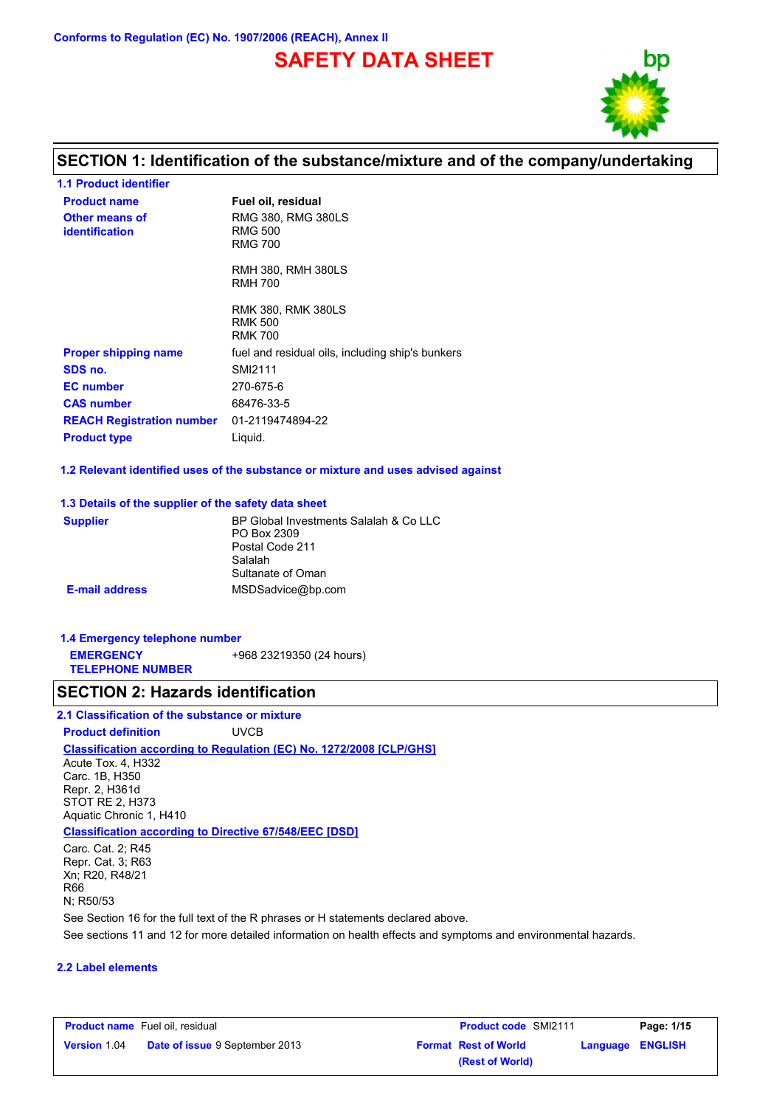**Conforms to Regulation (EC) No. 1907/2006 (REACH), Annex II**

# **SAFETY DATA SHEET**



## **SECTION 1: Identification of the substance/mixture and of the company/undertaking**

| <b>1.1 Product identifier</b>           |                                                               |
|-----------------------------------------|---------------------------------------------------------------|
| <b>Product name</b>                     | Fuel oil, residual                                            |
| Other means of<br><b>identification</b> | RMG 380, RMG 380LS<br><b>RMG 500</b><br><b>RMG 700</b>        |
|                                         | <b>RMH 380, RMH 380LS</b><br><b>RMH 700</b>                   |
|                                         | <b>RMK 380. RMK 380LS</b><br><b>RMK 500</b><br><b>RMK 700</b> |
| <b>Proper shipping name</b>             | fuel and residual oils, including ship's bunkers              |
| SDS no.                                 | SMI2111                                                       |
| <b>EC</b> number                        | 270-675-6                                                     |
| <b>CAS number</b>                       | 68476-33-5                                                    |
| <b>REACH Registration number</b>        | 01-2119474894-22                                              |
| <b>Product type</b>                     | Liguid.                                                       |

**1.2 Relevant identified uses of the substance or mixture and uses advised against**

#### **1.3 Details of the supplier of the safety data sheet**

| <b>Supplier</b>       | BP Global Investments Salalah & Co LLC<br>PO Box 2309 |
|-----------------------|-------------------------------------------------------|
|                       | Postal Code 211                                       |
|                       | Salalah                                               |
|                       | Sultanate of Oman                                     |
| <b>E-mail address</b> | MSDSadvice@bp.com                                     |

#### **1.4 Emergency telephone number EMERGENCY TELEPHONE NUMBER** +968 23219350 (24 hours)

### **SECTION 2: Hazards identification**

## **2.1 Classification of the substance or mixture**

**Classification according to Regulation (EC) No. 1272/2008 [CLP/GHS] Product definition** UVCB

Acute Tox. 4, H332 Carc. 1B, H350 Repr. 2, H361d STOT RE 2, H373 Aquatic Chronic 1, H410

#### **Classification according to Directive 67/548/EEC [DSD]**

See sections 11 and 12 for more detailed information on health effects and symptoms and environmental hazards. See Section 16 for the full text of the R phrases or H statements declared above. Carc. Cat. 2; R45 Repr. Cat. 3; R63 Xn; R20, R48/21 R66 N; R50/53

#### **2.2 Label elements**

|                     | <b>Product name</b> Fuel oil, residual | <b>Product code SMI2111</b> | Page: 1/15       |
|---------------------|----------------------------------------|-----------------------------|------------------|
| <b>Version 1.04</b> | <b>Date of issue 9 September 2013</b>  | <b>Format Rest of World</b> | Language ENGLISH |
|                     |                                        | (Rest of World)             |                  |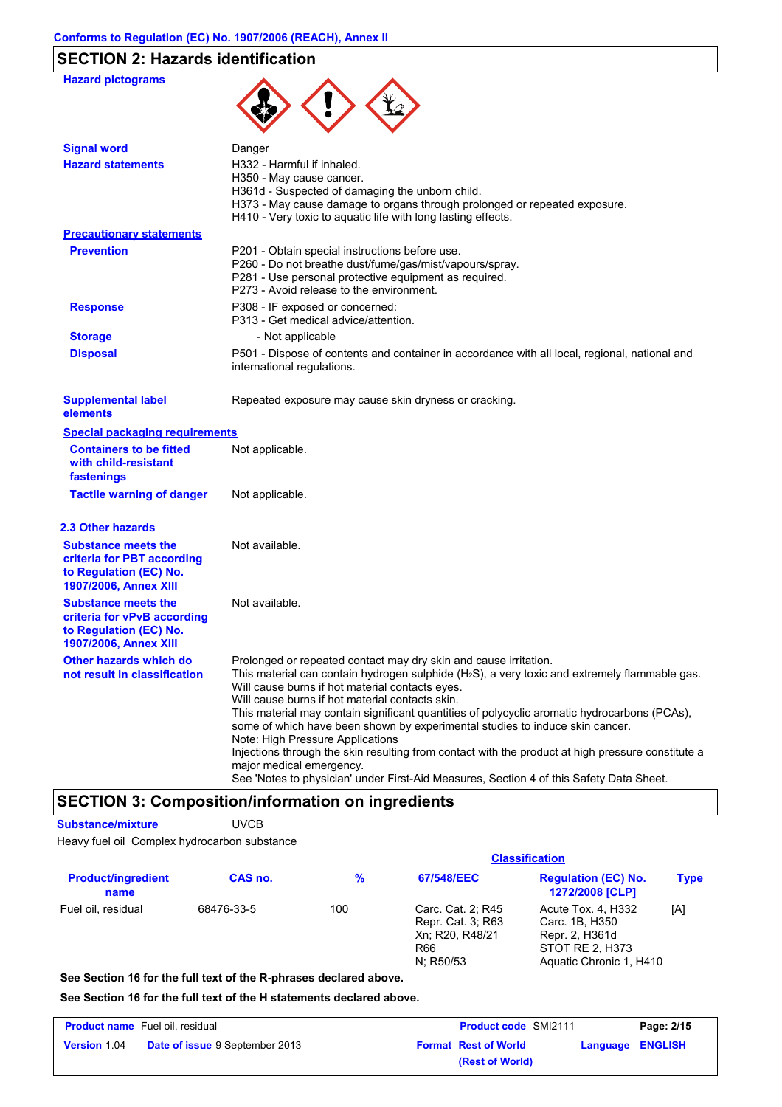# **SECTION 2: Hazards identification**

| <b>Hazard pictograms</b>                                                                                     |                                                                                                                                                                                                                                                                                                                                                                                                                                                                                                                                                                                                                                                                                                                            |
|--------------------------------------------------------------------------------------------------------------|----------------------------------------------------------------------------------------------------------------------------------------------------------------------------------------------------------------------------------------------------------------------------------------------------------------------------------------------------------------------------------------------------------------------------------------------------------------------------------------------------------------------------------------------------------------------------------------------------------------------------------------------------------------------------------------------------------------------------|
| <b>Signal word</b>                                                                                           | Danger                                                                                                                                                                                                                                                                                                                                                                                                                                                                                                                                                                                                                                                                                                                     |
| <b>Hazard statements</b>                                                                                     | H332 - Harmful if inhaled.<br>H350 - May cause cancer.<br>H361d - Suspected of damaging the unborn child.<br>H373 - May cause damage to organs through prolonged or repeated exposure.<br>H410 - Very toxic to aquatic life with long lasting effects.                                                                                                                                                                                                                                                                                                                                                                                                                                                                     |
| <b>Precautionary statements</b>                                                                              |                                                                                                                                                                                                                                                                                                                                                                                                                                                                                                                                                                                                                                                                                                                            |
| <b>Prevention</b>                                                                                            | P201 - Obtain special instructions before use.<br>P260 - Do not breathe dust/fume/gas/mist/vapours/spray.<br>P281 - Use personal protective equipment as required.<br>P273 - Avoid release to the environment.                                                                                                                                                                                                                                                                                                                                                                                                                                                                                                             |
| <b>Response</b>                                                                                              | P308 - IF exposed or concerned:<br>P313 - Get medical advice/attention.                                                                                                                                                                                                                                                                                                                                                                                                                                                                                                                                                                                                                                                    |
| <b>Storage</b>                                                                                               | - Not applicable                                                                                                                                                                                                                                                                                                                                                                                                                                                                                                                                                                                                                                                                                                           |
| <b>Disposal</b>                                                                                              | P501 - Dispose of contents and container in accordance with all local, regional, national and<br>international regulations.                                                                                                                                                                                                                                                                                                                                                                                                                                                                                                                                                                                                |
| <b>Supplemental label</b><br>elements                                                                        | Repeated exposure may cause skin dryness or cracking.                                                                                                                                                                                                                                                                                                                                                                                                                                                                                                                                                                                                                                                                      |
| <b>Special packaging requirements</b>                                                                        |                                                                                                                                                                                                                                                                                                                                                                                                                                                                                                                                                                                                                                                                                                                            |
| <b>Containers to be fitted</b><br>with child-resistant<br>fastenings                                         | Not applicable.                                                                                                                                                                                                                                                                                                                                                                                                                                                                                                                                                                                                                                                                                                            |
| <b>Tactile warning of danger</b>                                                                             | Not applicable.                                                                                                                                                                                                                                                                                                                                                                                                                                                                                                                                                                                                                                                                                                            |
| 2.3 Other hazards                                                                                            |                                                                                                                                                                                                                                                                                                                                                                                                                                                                                                                                                                                                                                                                                                                            |
| <b>Substance meets the</b><br>criteria for PBT according<br>to Regulation (EC) No.<br>1907/2006, Annex XIII  | Not available.                                                                                                                                                                                                                                                                                                                                                                                                                                                                                                                                                                                                                                                                                                             |
| <b>Substance meets the</b><br>criteria for vPvB according<br>to Regulation (EC) No.<br>1907/2006, Annex XIII | Not available.                                                                                                                                                                                                                                                                                                                                                                                                                                                                                                                                                                                                                                                                                                             |
| Other hazards which do<br>not result in classification                                                       | Prolonged or repeated contact may dry skin and cause irritation.<br>This material can contain hydrogen sulphide $(H_2S)$ , a very toxic and extremely flammable gas.<br>Will cause burns if hot material contacts eyes.<br>Will cause burns if hot material contacts skin.<br>This material may contain significant quantities of polycyclic aromatic hydrocarbons (PCAs),<br>some of which have been shown by experimental studies to induce skin cancer.<br>Note: High Pressure Applications<br>Injections through the skin resulting from contact with the product at high pressure constitute a<br>major medical emergency.<br>See 'Notes to physician' under First-Aid Measures, Section 4 of this Safety Data Sheet. |

## **SECTION 3: Composition/information on ingredients**

**Substance/mixture** UVCB

Heavy fuel oil Complex hydrocarbon substance

|                                   |            | <b>Classification</b> |                                                                               |                                                                                                      |             |  |
|-----------------------------------|------------|-----------------------|-------------------------------------------------------------------------------|------------------------------------------------------------------------------------------------------|-------------|--|
| <b>Product/ingredient</b><br>name | CAS no.    | $\frac{9}{6}$         | 67/548/EEC                                                                    | <b>Regulation (EC) No.</b><br><b>1272/2008 [CLP]</b>                                                 | <b>Type</b> |  |
| Fuel oil, residual                | 68476-33-5 | 100                   | Carc. Cat. 2; R45<br>Repr. Cat. 3; R63<br>Xn; R20, R48/21<br>R66<br>N: R50/53 | Acute Tox. 4. H332<br>Carc. 1B. H350<br>Repr. 2, H361d<br>STOT RE 2, H373<br>Aquatic Chronic 1, H410 | [A]         |  |

**See Section 16 for the full text of the R-phrases declared above.**

**See Section 16 for the full text of the H statements declared above.**

|                     | <b>Product name</b> Fuel oil, residual | <b>Product code SMI2111</b>                            | Page: 2/15 |
|---------------------|----------------------------------------|--------------------------------------------------------|------------|
| <b>Version 1.04</b> | <b>Date of issue 9 September 2013</b>  | <b>Format Rest of World</b><br><b>Language ENGLISH</b> |            |
|                     |                                        | (Rest of World)                                        |            |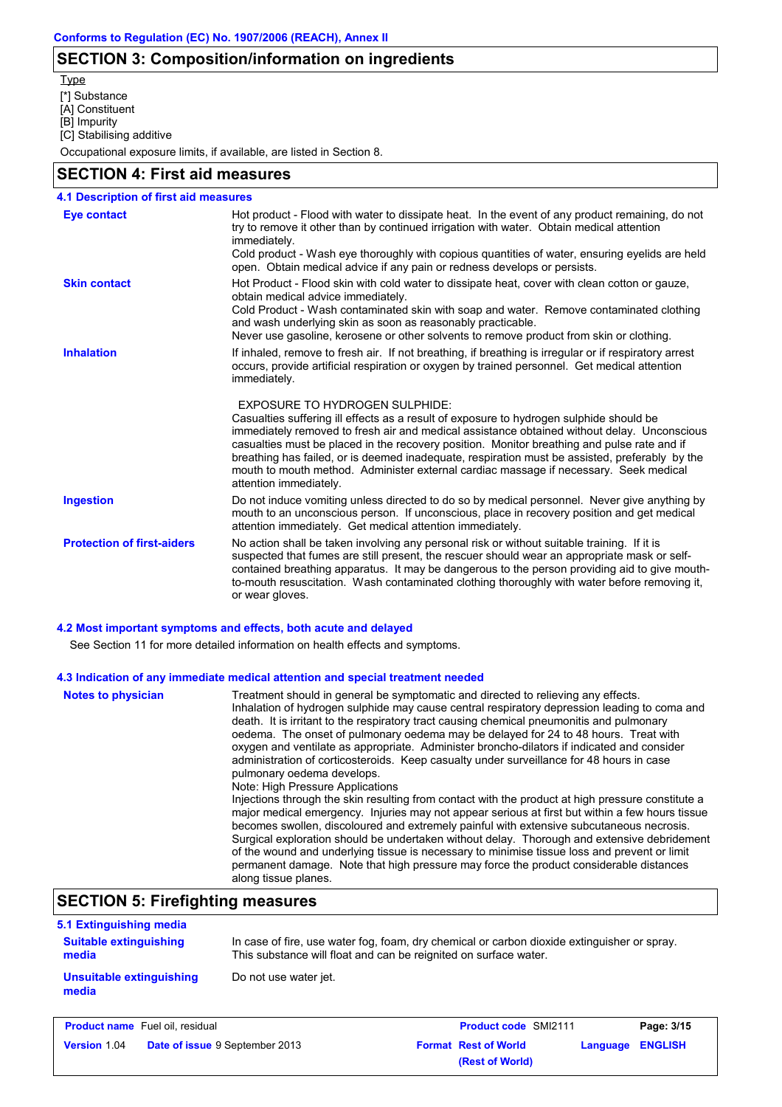## **SECTION 3: Composition/information on ingredients**

**Type** 

[\*] Substance

[A] Constituent

[B] Impurity

[C] Stabilising additive

Occupational exposure limits, if available, are listed in Section 8.

### **SECTION 4: First aid measures**

| 4.1 Description of first aid measures |                                                                                                                                                                                                                                                                                                                                                                                                                                                                                                                                                     |
|---------------------------------------|-----------------------------------------------------------------------------------------------------------------------------------------------------------------------------------------------------------------------------------------------------------------------------------------------------------------------------------------------------------------------------------------------------------------------------------------------------------------------------------------------------------------------------------------------------|
| <b>Eye contact</b>                    | Hot product - Flood with water to dissipate heat. In the event of any product remaining, do not<br>try to remove it other than by continued irrigation with water. Obtain medical attention<br>immediately.<br>Cold product - Wash eye thoroughly with copious quantities of water, ensuring eyelids are held<br>open. Obtain medical advice if any pain or redness develops or persists.                                                                                                                                                           |
| <b>Skin contact</b>                   | Hot Product - Flood skin with cold water to dissipate heat, cover with clean cotton or gauze,<br>obtain medical advice immediately.<br>Cold Product - Wash contaminated skin with soap and water. Remove contaminated clothing<br>and wash underlying skin as soon as reasonably practicable.<br>Never use gasoline, kerosene or other solvents to remove product from skin or clothing.                                                                                                                                                            |
| <b>Inhalation</b>                     | If inhaled, remove to fresh air. If not breathing, if breathing is irregular or if respiratory arrest<br>occurs, provide artificial respiration or oxygen by trained personnel. Get medical attention<br>immediately.                                                                                                                                                                                                                                                                                                                               |
|                                       | <b>EXPOSURE TO HYDROGEN SULPHIDE:</b><br>Casualties suffering ill effects as a result of exposure to hydrogen sulphide should be<br>immediately removed to fresh air and medical assistance obtained without delay. Unconscious<br>casualties must be placed in the recovery position. Monitor breathing and pulse rate and if<br>breathing has failed, or is deemed inadequate, respiration must be assisted, preferably by the<br>mouth to mouth method. Administer external cardiac massage if necessary. Seek medical<br>attention immediately. |
| <b>Ingestion</b>                      | Do not induce vomiting unless directed to do so by medical personnel. Never give anything by<br>mouth to an unconscious person. If unconscious, place in recovery position and get medical<br>attention immediately. Get medical attention immediately.                                                                                                                                                                                                                                                                                             |
| <b>Protection of first-aiders</b>     | No action shall be taken involving any personal risk or without suitable training. If it is<br>suspected that fumes are still present, the rescuer should wear an appropriate mask or self-<br>contained breathing apparatus. It may be dangerous to the person providing aid to give mouth-<br>to-mouth resuscitation. Wash contaminated clothing thoroughly with water before removing it,<br>or wear gloves.                                                                                                                                     |

#### **4.2 Most important symptoms and effects, both acute and delayed**

See Section 11 for more detailed information on health effects and symptoms.

#### **4.3 Indication of any immediate medical attention and special treatment needed**

| <b>Notes to physician</b> | Treatment should in general be symptomatic and directed to relieving any effects.<br>Inhalation of hydrogen sulphide may cause central respiratory depression leading to coma and<br>death. It is irritant to the respiratory tract causing chemical pneumonitis and pulmonary<br>oedema. The onset of pulmonary oedema may be delayed for 24 to 48 hours. Treat with<br>oxygen and ventilate as appropriate. Administer broncho-dilators if indicated and consider<br>administration of corticosteroids. Keep casualty under surveillance for 48 hours in case<br>pulmonary oedema develops.<br>Note: High Pressure Applications<br>Injections through the skin resulting from contact with the product at high pressure constitute a<br>major medical emergency. Injuries may not appear serious at first but within a few hours tissue<br>becomes swollen, discoloured and extremely painful with extensive subcutaneous necrosis.<br>Surgical exploration should be undertaken without delay. Thorough and extensive debridement<br>of the wound and underlying tissue is necessary to minimise tissue loss and prevent or limit<br>permanent damage. Note that high pressure may force the product considerable distances<br>along tissue planes. |
|---------------------------|--------------------------------------------------------------------------------------------------------------------------------------------------------------------------------------------------------------------------------------------------------------------------------------------------------------------------------------------------------------------------------------------------------------------------------------------------------------------------------------------------------------------------------------------------------------------------------------------------------------------------------------------------------------------------------------------------------------------------------------------------------------------------------------------------------------------------------------------------------------------------------------------------------------------------------------------------------------------------------------------------------------------------------------------------------------------------------------------------------------------------------------------------------------------------------------------------------------------------------------------------------|
|---------------------------|--------------------------------------------------------------------------------------------------------------------------------------------------------------------------------------------------------------------------------------------------------------------------------------------------------------------------------------------------------------------------------------------------------------------------------------------------------------------------------------------------------------------------------------------------------------------------------------------------------------------------------------------------------------------------------------------------------------------------------------------------------------------------------------------------------------------------------------------------------------------------------------------------------------------------------------------------------------------------------------------------------------------------------------------------------------------------------------------------------------------------------------------------------------------------------------------------------------------------------------------------------|

# **SECTION 5: Firefighting measures**

| 5.1 Extinguishing media                |                                                                                                                                                                 |
|----------------------------------------|-----------------------------------------------------------------------------------------------------------------------------------------------------------------|
| <b>Suitable extinguishing</b><br>media | In case of fire, use water fog, foam, dry chemical or carbon dioxide extinguisher or spray.<br>This substance will float and can be reignited on surface water. |
| Unsuitable extinguishing<br>media      | Do not use water jet.                                                                                                                                           |

| <b>Product name</b> Fuel oil, residual |                                       | <b>Product code SMI2111</b> |                             | Page: 3/15       |  |
|----------------------------------------|---------------------------------------|-----------------------------|-----------------------------|------------------|--|
| <b>Version 1.04</b>                    | <b>Date of issue 9 September 2013</b> |                             | <b>Format Rest of World</b> | Language ENGLISH |  |
|                                        |                                       |                             | (Rest of World)             |                  |  |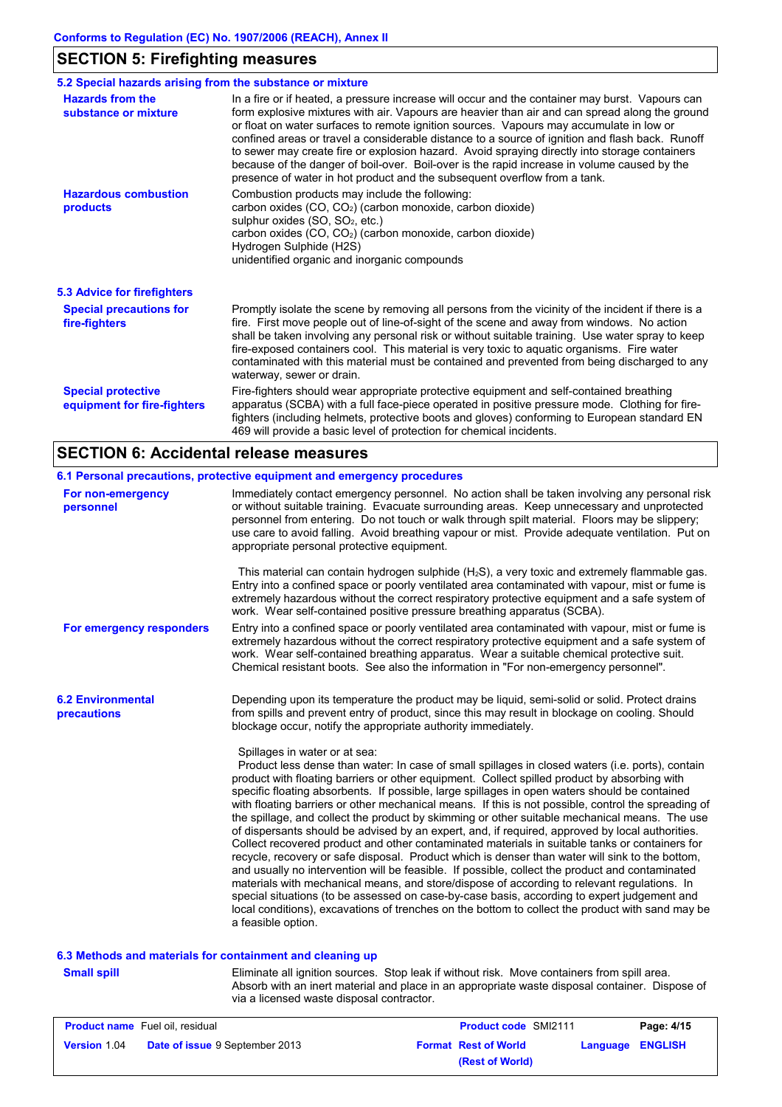# **SECTION 5: Firefighting measures**

| 5.2 Special hazards arising from the substance or mixture |                                                                                                                                                                                                                                                                                                                                                                                                                                                                                                                                                                                                                                                                              |  |  |
|-----------------------------------------------------------|------------------------------------------------------------------------------------------------------------------------------------------------------------------------------------------------------------------------------------------------------------------------------------------------------------------------------------------------------------------------------------------------------------------------------------------------------------------------------------------------------------------------------------------------------------------------------------------------------------------------------------------------------------------------------|--|--|
| <b>Hazards from the</b><br>substance or mixture           | In a fire or if heated, a pressure increase will occur and the container may burst. Vapours can<br>form explosive mixtures with air. Vapours are heavier than air and can spread along the ground<br>or float on water surfaces to remote ignition sources. Vapours may accumulate in low or<br>confined areas or travel a considerable distance to a source of ignition and flash back. Runoff<br>to sewer may create fire or explosion hazard. Avoid spraying directly into storage containers<br>because of the danger of boil-over. Boil-over is the rapid increase in volume caused by the<br>presence of water in hot product and the subsequent overflow from a tank. |  |  |
| <b>Hazardous combustion</b><br>products                   | Combustion products may include the following:<br>carbon oxides (CO, CO <sub>2</sub> ) (carbon monoxide, carbon dioxide)<br>sulphur oxides (SO, SO <sub>2</sub> , etc.)<br>carbon oxides (CO, CO <sub>2</sub> ) (carbon monoxide, carbon dioxide)<br>Hydrogen Sulphide (H2S)<br>unidentified organic and inorganic compounds                                                                                                                                                                                                                                                                                                                                                 |  |  |
| 5.3 Advice for firefighters                               |                                                                                                                                                                                                                                                                                                                                                                                                                                                                                                                                                                                                                                                                              |  |  |
| <b>Special precautions for</b><br>fire-fighters           | Promptly isolate the scene by removing all persons from the vicinity of the incident if there is a<br>fire. First move people out of line-of-sight of the scene and away from windows. No action<br>shall be taken involving any personal risk or without suitable training. Use water spray to keep<br>fire-exposed containers cool. This material is very toxic to aquatic organisms. Fire water<br>contaminated with this material must be contained and prevented from being discharged to any<br>waterway, sewer or drain.                                                                                                                                              |  |  |
| <b>Special protective</b><br>equipment for fire-fighters  | Fire-fighters should wear appropriate protective equipment and self-contained breathing<br>apparatus (SCBA) with a full face-piece operated in positive pressure mode. Clothing for fire-<br>fighters (including helmets, protective boots and gloves) conforming to European standard EN<br>469 will provide a basic level of protection for chemical incidents.                                                                                                                                                                                                                                                                                                            |  |  |

## **SECTION 6: Accidental release measures**

|                                         | 6.1 Personal precautions, protective equipment and emergency procedures                                                                                                                                                                                                                                                                                                                                                                                                                                                                                                                                                                                                                                                                                                                                                                                                                                                                                                                                                                                                                                                                                                                                                                                                       |
|-----------------------------------------|-------------------------------------------------------------------------------------------------------------------------------------------------------------------------------------------------------------------------------------------------------------------------------------------------------------------------------------------------------------------------------------------------------------------------------------------------------------------------------------------------------------------------------------------------------------------------------------------------------------------------------------------------------------------------------------------------------------------------------------------------------------------------------------------------------------------------------------------------------------------------------------------------------------------------------------------------------------------------------------------------------------------------------------------------------------------------------------------------------------------------------------------------------------------------------------------------------------------------------------------------------------------------------|
| For non-emergency<br>personnel          | Immediately contact emergency personnel. No action shall be taken involving any personal risk<br>or without suitable training. Evacuate surrounding areas. Keep unnecessary and unprotected<br>personnel from entering. Do not touch or walk through spilt material. Floors may be slippery;<br>use care to avoid falling. Avoid breathing vapour or mist. Provide adequate ventilation. Put on<br>appropriate personal protective equipment.                                                                                                                                                                                                                                                                                                                                                                                                                                                                                                                                                                                                                                                                                                                                                                                                                                 |
|                                         | This material can contain hydrogen sulphide $(H_2S)$ , a very toxic and extremely flammable gas.<br>Entry into a confined space or poorly ventilated area contaminated with vapour, mist or fume is<br>extremely hazardous without the correct respiratory protective equipment and a safe system of<br>work. Wear self-contained positive pressure breathing apparatus (SCBA).                                                                                                                                                                                                                                                                                                                                                                                                                                                                                                                                                                                                                                                                                                                                                                                                                                                                                               |
| For emergency responders                | Entry into a confined space or poorly ventilated area contaminated with vapour, mist or fume is<br>extremely hazardous without the correct respiratory protective equipment and a safe system of<br>work. Wear self-contained breathing apparatus. Wear a suitable chemical protective suit.<br>Chemical resistant boots. See also the information in "For non-emergency personnel".                                                                                                                                                                                                                                                                                                                                                                                                                                                                                                                                                                                                                                                                                                                                                                                                                                                                                          |
| <b>6.2 Environmental</b><br>precautions | Depending upon its temperature the product may be liquid, semi-solid or solid. Protect drains<br>from spills and prevent entry of product, since this may result in blockage on cooling. Should<br>blockage occur, notify the appropriate authority immediately.                                                                                                                                                                                                                                                                                                                                                                                                                                                                                                                                                                                                                                                                                                                                                                                                                                                                                                                                                                                                              |
|                                         | Spillages in water or at sea:<br>Product less dense than water: In case of small spillages in closed waters (i.e. ports), contain<br>product with floating barriers or other equipment. Collect spilled product by absorbing with<br>specific floating absorbents. If possible, large spillages in open waters should be contained<br>with floating barriers or other mechanical means. If this is not possible, control the spreading of<br>the spillage, and collect the product by skimming or other suitable mechanical means. The use<br>of dispersants should be advised by an expert, and, if required, approved by local authorities.<br>Collect recovered product and other contaminated materials in suitable tanks or containers for<br>recycle, recovery or safe disposal. Product which is denser than water will sink to the bottom,<br>and usually no intervention will be feasible. If possible, collect the product and contaminated<br>materials with mechanical means, and store/dispose of according to relevant regulations. In<br>special situations (to be assessed on case-by-case basis, according to expert judgement and<br>local conditions), excavations of trenches on the bottom to collect the product with sand may be<br>a feasible option. |

### **6.3 Methods and materials for containment and cleaning up**

**Small spill**

Eliminate all ignition sources. Stop leak if without risk. Move containers from spill area. Absorb with an inert material and place in an appropriate waste disposal container. Dispose of via a licensed waste disposal contractor.

|                     | <b>Product name</b> Fuel oil, residual | <b>Product code SMI2111</b> | Page: 4/15              |
|---------------------|----------------------------------------|-----------------------------|-------------------------|
| <b>Version 1.04</b> | <b>Date of issue 9 September 2013</b>  | <b>Format Rest of World</b> | <b>Language ENGLISH</b> |
|                     |                                        | (Rest of World)             |                         |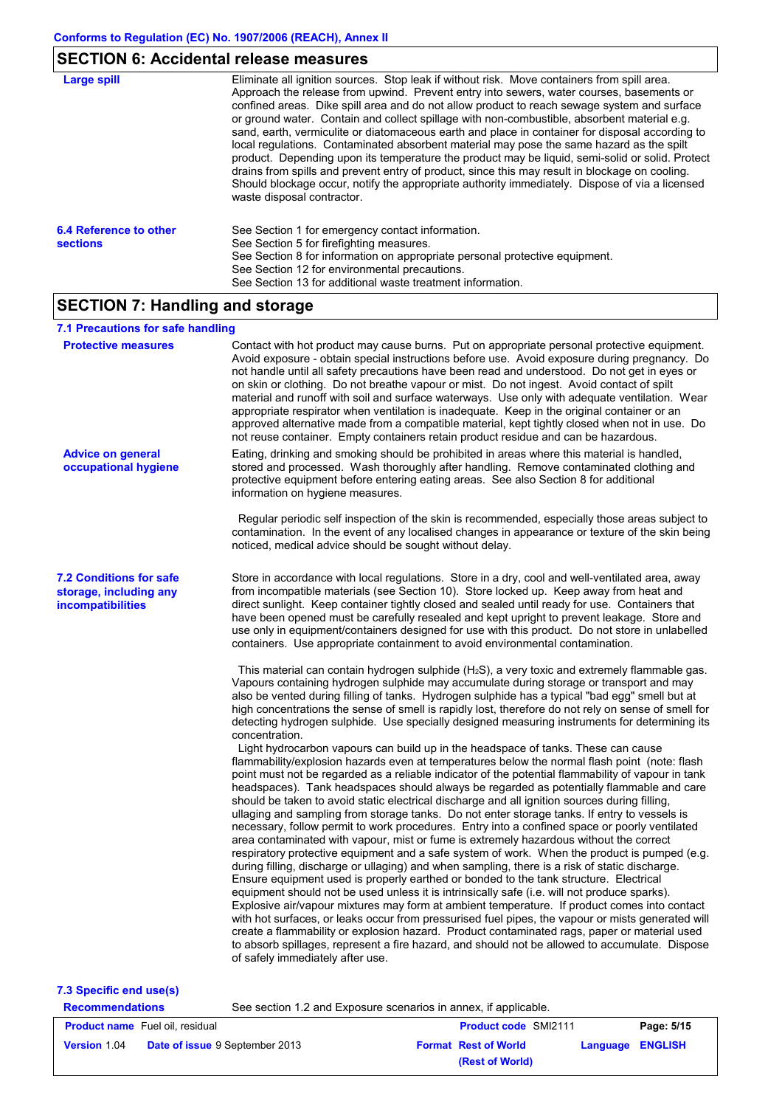## **SECTION 6: Accidental release measures**

| Large spill                               | Eliminate all ignition sources. Stop leak if without risk. Move containers from spill area.<br>Approach the release from upwind. Prevent entry into sewers, water courses, basements or<br>confined areas. Dike spill area and do not allow product to reach sewage system and surface<br>or ground water. Contain and collect spillage with non-combustible, absorbent material e.g.<br>sand, earth, vermiculite or diatomaceous earth and place in container for disposal according to<br>local regulations. Contaminated absorbent material may pose the same hazard as the spilt<br>product. Depending upon its temperature the product may be liquid, semi-solid or solid. Protect<br>drains from spills and prevent entry of product, since this may result in blockage on cooling.<br>Should blockage occur, notify the appropriate authority immediately. Dispose of via a licensed<br>waste disposal contractor. |
|-------------------------------------------|---------------------------------------------------------------------------------------------------------------------------------------------------------------------------------------------------------------------------------------------------------------------------------------------------------------------------------------------------------------------------------------------------------------------------------------------------------------------------------------------------------------------------------------------------------------------------------------------------------------------------------------------------------------------------------------------------------------------------------------------------------------------------------------------------------------------------------------------------------------------------------------------------------------------------|
| 6.4 Reference to other<br><b>sections</b> | See Section 1 for emergency contact information.<br>See Section 5 for firefighting measures.<br>See Section 8 for information on appropriate personal protective equipment.<br>See Section 12 for environmental precautions.<br>See Section 13 for additional waste treatment information.                                                                                                                                                                                                                                                                                                                                                                                                                                                                                                                                                                                                                                |

# **SECTION 7: Handling and storage**

### **7.1 Precautions for safe handling**

| <b>Protective measures</b>                                                    | Contact with hot product may cause burns. Put on appropriate personal protective equipment.<br>Avoid exposure - obtain special instructions before use. Avoid exposure during pregnancy. Do<br>not handle until all safety precautions have been read and understood. Do not get in eyes or<br>on skin or clothing. Do not breathe vapour or mist. Do not ingest. Avoid contact of spilt<br>material and runoff with soil and surface waterways. Use only with adequate ventilation. Wear<br>appropriate respirator when ventilation is inadequate. Keep in the original container or an<br>approved alternative made from a compatible material, kept tightly closed when not in use. Do<br>not reuse container. Empty containers retain product residue and can be hazardous.                                                                                                                                                                                                                                                                                                                                                                                                                                                                                                                                                                                                                                                                                                                                                                                                                                                                                                                                                                                                                                                                                                                                                                                                                                                                                                                                                                                                                                                                                                                                                                                                                                                                                                                                                                                                                                                                                                                                                             |
|-------------------------------------------------------------------------------|---------------------------------------------------------------------------------------------------------------------------------------------------------------------------------------------------------------------------------------------------------------------------------------------------------------------------------------------------------------------------------------------------------------------------------------------------------------------------------------------------------------------------------------------------------------------------------------------------------------------------------------------------------------------------------------------------------------------------------------------------------------------------------------------------------------------------------------------------------------------------------------------------------------------------------------------------------------------------------------------------------------------------------------------------------------------------------------------------------------------------------------------------------------------------------------------------------------------------------------------------------------------------------------------------------------------------------------------------------------------------------------------------------------------------------------------------------------------------------------------------------------------------------------------------------------------------------------------------------------------------------------------------------------------------------------------------------------------------------------------------------------------------------------------------------------------------------------------------------------------------------------------------------------------------------------------------------------------------------------------------------------------------------------------------------------------------------------------------------------------------------------------------------------------------------------------------------------------------------------------------------------------------------------------------------------------------------------------------------------------------------------------------------------------------------------------------------------------------------------------------------------------------------------------------------------------------------------------------------------------------------------------------------------------------------------------------------------------------------------------|
| <b>Advice on general</b><br>occupational hygiene                              | Eating, drinking and smoking should be prohibited in areas where this material is handled,<br>stored and processed. Wash thoroughly after handling. Remove contaminated clothing and<br>protective equipment before entering eating areas. See also Section 8 for additional<br>information on hygiene measures.<br>Regular periodic self inspection of the skin is recommended, especially those areas subject to<br>contamination. In the event of any localised changes in appearance or texture of the skin being<br>noticed, medical advice should be sought without delay.                                                                                                                                                                                                                                                                                                                                                                                                                                                                                                                                                                                                                                                                                                                                                                                                                                                                                                                                                                                                                                                                                                                                                                                                                                                                                                                                                                                                                                                                                                                                                                                                                                                                                                                                                                                                                                                                                                                                                                                                                                                                                                                                                            |
| <b>7.2 Conditions for safe</b><br>storage, including any<br>incompatibilities | Store in accordance with local regulations. Store in a dry, cool and well-ventilated area, away<br>from incompatible materials (see Section 10). Store locked up. Keep away from heat and<br>direct sunlight. Keep container tightly closed and sealed until ready for use. Containers that<br>have been opened must be carefully resealed and kept upright to prevent leakage. Store and<br>use only in equipment/containers designed for use with this product. Do not store in unlabelled<br>containers. Use appropriate containment to avoid environmental contamination.<br>This material can contain hydrogen sulphide (H <sub>2</sub> S), a very toxic and extremely flammable gas.<br>Vapours containing hydrogen sulphide may accumulate during storage or transport and may<br>also be vented during filling of tanks. Hydrogen sulphide has a typical "bad egg" smell but at<br>high concentrations the sense of smell is rapidly lost, therefore do not rely on sense of smell for<br>detecting hydrogen sulphide. Use specially designed measuring instruments for determining its<br>concentration.<br>Light hydrocarbon vapours can build up in the headspace of tanks. These can cause<br>flammability/explosion hazards even at temperatures below the normal flash point (note: flash<br>point must not be regarded as a reliable indicator of the potential flammability of vapour in tank<br>headspaces). Tank headspaces should always be regarded as potentially flammable and care<br>should be taken to avoid static electrical discharge and all ignition sources during filling.<br>ullaging and sampling from storage tanks. Do not enter storage tanks. If entry to vessels is<br>necessary, follow permit to work procedures. Entry into a confined space or poorly ventilated<br>area contaminated with vapour, mist or fume is extremely hazardous without the correct<br>respiratory protective equipment and a safe system of work. When the product is pumped (e.g.<br>during filling, discharge or ullaging) and when sampling, there is a risk of static discharge.<br>Ensure equipment used is properly earthed or bonded to the tank structure. Electrical<br>equipment should not be used unless it is intrinsically safe (i.e. will not produce sparks).<br>Explosive air/vapour mixtures may form at ambient temperature. If product comes into contact<br>with hot surfaces, or leaks occur from pressurised fuel pipes, the vapour or mists generated will<br>create a flammability or explosion hazard. Product contaminated rags, paper or material used<br>to absorb spillages, represent a fire hazard, and should not be allowed to accumulate. Dispose<br>of safely immediately after use. |
| 7.2 Chapific and usala)                                                       |                                                                                                                                                                                                                                                                                                                                                                                                                                                                                                                                                                                                                                                                                                                                                                                                                                                                                                                                                                                                                                                                                                                                                                                                                                                                                                                                                                                                                                                                                                                                                                                                                                                                                                                                                                                                                                                                                                                                                                                                                                                                                                                                                                                                                                                                                                                                                                                                                                                                                                                                                                                                                                                                                                                                             |

#### **7.3 Specific end use(s)**

| See section 1.2 and Exposure scenarios in annex, if applicable.<br><b>Recommendations</b> |                                        |  |                             |                  |            |
|-------------------------------------------------------------------------------------------|----------------------------------------|--|-----------------------------|------------------|------------|
|                                                                                           | <b>Product name</b> Fuel oil, residual |  | <b>Product code SMI2111</b> |                  | Page: 5/15 |
| <b>Version 1.04</b>                                                                       | <b>Date of issue 9 September 2013</b>  |  | <b>Format Rest of World</b> | Language ENGLISH |            |
|                                                                                           |                                        |  | (Rest of World)             |                  |            |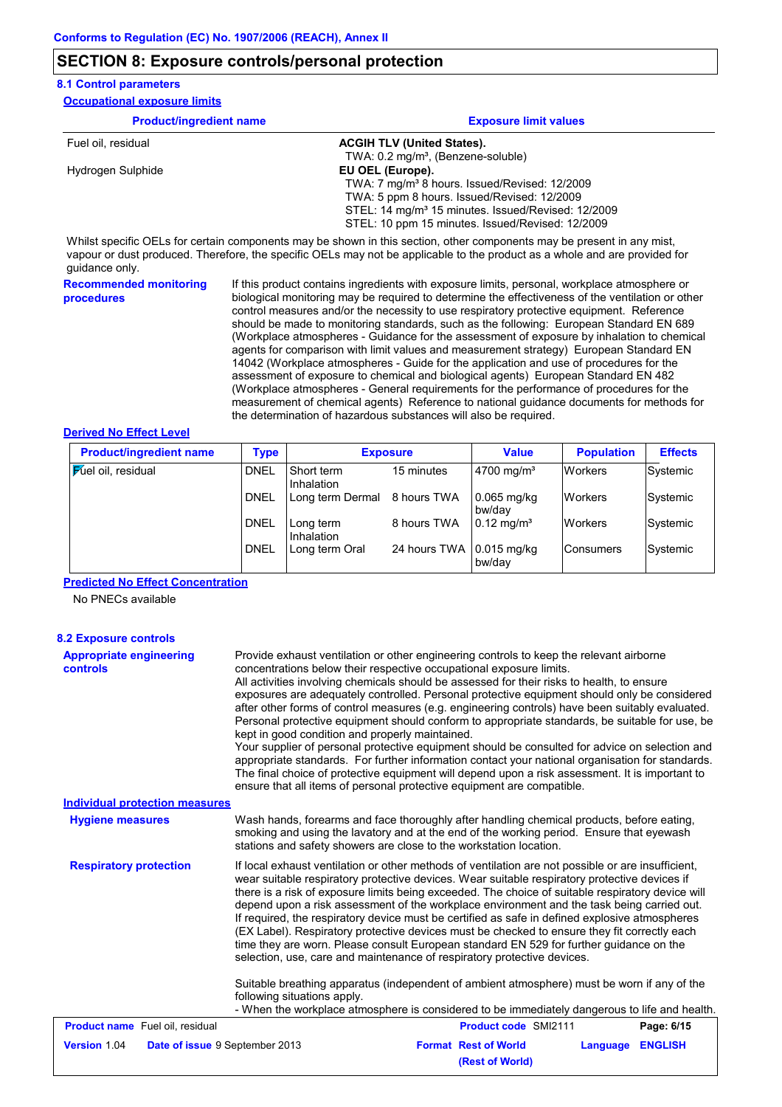### **SECTION 8: Exposure controls/personal protection**

#### **8.1 Control parameters**

| <b>Occupational exposure limits</b> |                                                                |  |  |  |
|-------------------------------------|----------------------------------------------------------------|--|--|--|
| <b>Product/ingredient name</b>      | <b>Exposure limit values</b>                                   |  |  |  |
| Fuel oil, residual                  | <b>ACGIH TLV (United States).</b>                              |  |  |  |
|                                     | TWA: 0.2 mg/m <sup>3</sup> , (Benzene-soluble)                 |  |  |  |
| Hydrogen Sulphide                   | EU OEL (Europe).                                               |  |  |  |
|                                     | TWA: 7 mg/m <sup>3</sup> 8 hours. Issued/Revised: 12/2009      |  |  |  |
|                                     | TWA: 5 ppm 8 hours. Issued/Revised: 12/2009                    |  |  |  |
|                                     | STEL: 14 mg/m <sup>3</sup> 15 minutes. Issued/Revised: 12/2009 |  |  |  |
|                                     | STEL: 10 ppm 15 minutes. Issued/Revised: 12/2009               |  |  |  |

Whilst specific OELs for certain components may be shown in this section, other components may be present in any mist, vapour or dust produced. Therefore, the specific OELs may not be applicable to the product as a whole and are provided for guidance only.

**Recommended monitoring procedures** If this product contains ingredients with exposure limits, personal, workplace atmosphere or biological monitoring may be required to determine the effectiveness of the ventilation or other control measures and/or the necessity to use respiratory protective equipment. Reference should be made to monitoring standards, such as the following: European Standard EN 689 (Workplace atmospheres - Guidance for the assessment of exposure by inhalation to chemical agents for comparison with limit values and measurement strategy) European Standard EN 14042 (Workplace atmospheres - Guide for the application and use of procedures for the assessment of exposure to chemical and biological agents) European Standard EN 482 (Workplace atmospheres - General requirements for the performance of procedures for the measurement of chemical agents) Reference to national guidance documents for methods for the determination of hazardous substances will also be required.

#### **Derived No Effect Level**

| <b>Product/ingredient name</b> | Type        |                          | <b>Exposure</b>           | Value                    | <b>Population</b> | <b>Effects</b> |
|--------------------------------|-------------|--------------------------|---------------------------|--------------------------|-------------------|----------------|
| <b>Fuel oil</b> , residual     | <b>DNEL</b> | Short term<br>Inhalation | 15 minutes                | $4700$ mg/m <sup>3</sup> | <b>Workers</b>    | Systemic       |
|                                | <b>DNEL</b> | Long term Dermal         | 8 hours TWA               | $0.065$ mg/kg<br>bw/dav  | <b>Workers</b>    | Systemic       |
|                                | <b>DNEL</b> | Long term<br>Inhalation  | 8 hours TWA               | $0.12 \text{ mg/m}^3$    | <b>Workers</b>    | Systemic       |
|                                | <b>DNEL</b> | Long term Oral           | 24 hours TWA 10.015 mg/kg | bw/dav                   | Consumers         | Systemic       |

#### **Predicted No Effect Concentration**

No PNECs available

| <b>8.2 Exposure controls</b>                      |                                                                                                                                                                                                                                                                                                                                                                                                                                                                                                                                                                                                                                                                                                                                                                                                                                                                                                                                                                                                               |  |  |  |
|---------------------------------------------------|---------------------------------------------------------------------------------------------------------------------------------------------------------------------------------------------------------------------------------------------------------------------------------------------------------------------------------------------------------------------------------------------------------------------------------------------------------------------------------------------------------------------------------------------------------------------------------------------------------------------------------------------------------------------------------------------------------------------------------------------------------------------------------------------------------------------------------------------------------------------------------------------------------------------------------------------------------------------------------------------------------------|--|--|--|
| <b>Appropriate engineering</b><br><b>controls</b> | Provide exhaust ventilation or other engineering controls to keep the relevant airborne<br>concentrations below their respective occupational exposure limits.<br>All activities involving chemicals should be assessed for their risks to health, to ensure<br>exposures are adequately controlled. Personal protective equipment should only be considered<br>after other forms of control measures (e.g. engineering controls) have been suitably evaluated.<br>Personal protective equipment should conform to appropriate standards, be suitable for use, be<br>kept in good condition and properly maintained.<br>Your supplier of personal protective equipment should be consulted for advice on selection and<br>appropriate standards. For further information contact your national organisation for standards.<br>The final choice of protective equipment will depend upon a risk assessment. It is important to<br>ensure that all items of personal protective equipment are compatible.       |  |  |  |
| <b>Individual protection measures</b>             |                                                                                                                                                                                                                                                                                                                                                                                                                                                                                                                                                                                                                                                                                                                                                                                                                                                                                                                                                                                                               |  |  |  |
| <b>Hygiene measures</b>                           | Wash hands, forearms and face thoroughly after handling chemical products, before eating,<br>smoking and using the lavatory and at the end of the working period. Ensure that eyewash<br>stations and safety showers are close to the workstation location.                                                                                                                                                                                                                                                                                                                                                                                                                                                                                                                                                                                                                                                                                                                                                   |  |  |  |
| <b>Respiratory protection</b>                     | If local exhaust ventilation or other methods of ventilation are not possible or are insufficient.<br>wear suitable respiratory protective devices. Wear suitable respiratory protective devices if<br>there is a risk of exposure limits being exceeded. The choice of suitable respiratory device will<br>depend upon a risk assessment of the workplace environment and the task being carried out.<br>If required, the respiratory device must be certified as safe in defined explosive atmospheres<br>(EX Label). Respiratory protective devices must be checked to ensure they fit correctly each<br>time they are worn. Please consult European standard EN 529 for further guidance on the<br>selection, use, care and maintenance of respiratory protective devices.<br>Suitable breathing apparatus (independent of ambient atmosphere) must be worn if any of the<br>following situations apply.<br>- When the workplace atmosphere is considered to be immediately dangerous to life and health. |  |  |  |
| <b>Product name</b> Fuel oil, residual            | Product code SMI2111<br>Page: 6/15                                                                                                                                                                                                                                                                                                                                                                                                                                                                                                                                                                                                                                                                                                                                                                                                                                                                                                                                                                            |  |  |  |
| Version 1.04<br>Date of issue 9 September 2013    | <b>Format Rest of World</b><br><b>ENGLISH</b><br>Language                                                                                                                                                                                                                                                                                                                                                                                                                                                                                                                                                                                                                                                                                                                                                                                                                                                                                                                                                     |  |  |  |
|                                                   | (Rest of World)                                                                                                                                                                                                                                                                                                                                                                                                                                                                                                                                                                                                                                                                                                                                                                                                                                                                                                                                                                                               |  |  |  |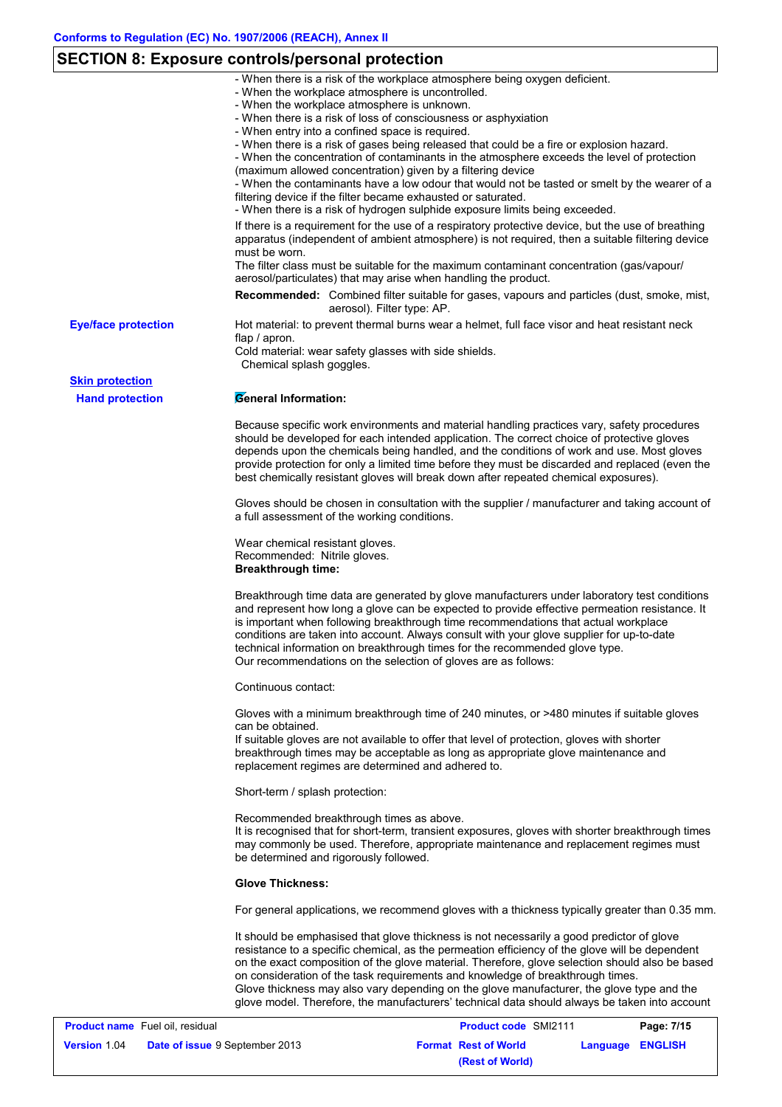# **SECTION 8: Exposure controls/personal protection**

|                            | - When there is a risk of the workplace atmosphere being oxygen deficient.                                                                                                                                                                                                                                                                                                                                                                                                                                                                                                     |
|----------------------------|--------------------------------------------------------------------------------------------------------------------------------------------------------------------------------------------------------------------------------------------------------------------------------------------------------------------------------------------------------------------------------------------------------------------------------------------------------------------------------------------------------------------------------------------------------------------------------|
|                            | - When the workplace atmosphere is uncontrolled.<br>- When the workplace atmosphere is unknown.                                                                                                                                                                                                                                                                                                                                                                                                                                                                                |
|                            | - When there is a risk of loss of consciousness or asphyxiation                                                                                                                                                                                                                                                                                                                                                                                                                                                                                                                |
|                            | - When entry into a confined space is required.                                                                                                                                                                                                                                                                                                                                                                                                                                                                                                                                |
|                            | - When there is a risk of gases being released that could be a fire or explosion hazard.<br>- When the concentration of contaminants in the atmosphere exceeds the level of protection                                                                                                                                                                                                                                                                                                                                                                                         |
|                            | (maximum allowed concentration) given by a filtering device<br>- When the contaminants have a low odour that would not be tasted or smelt by the wearer of a<br>filtering device if the filter became exhausted or saturated.                                                                                                                                                                                                                                                                                                                                                  |
|                            | - When there is a risk of hydrogen sulphide exposure limits being exceeded.                                                                                                                                                                                                                                                                                                                                                                                                                                                                                                    |
|                            | If there is a requirement for the use of a respiratory protective device, but the use of breathing                                                                                                                                                                                                                                                                                                                                                                                                                                                                             |
|                            | apparatus (independent of ambient atmosphere) is not required, then a suitable filtering device<br>must be worn.                                                                                                                                                                                                                                                                                                                                                                                                                                                               |
|                            | The filter class must be suitable for the maximum contaminant concentration (gas/vapour/<br>aerosol/particulates) that may arise when handling the product.                                                                                                                                                                                                                                                                                                                                                                                                                    |
|                            | <b>Recommended:</b> Combined filter suitable for gases, vapours and particles (dust, smoke, mist,<br>aerosol). Filter type: AP.                                                                                                                                                                                                                                                                                                                                                                                                                                                |
| <b>Eye/face protection</b> | Hot material: to prevent thermal burns wear a helmet, full face visor and heat resistant neck<br>flap $/$ apron.                                                                                                                                                                                                                                                                                                                                                                                                                                                               |
|                            | Cold material: wear safety glasses with side shields.<br>Chemical splash goggles.                                                                                                                                                                                                                                                                                                                                                                                                                                                                                              |
| <b>Skin protection</b>     |                                                                                                                                                                                                                                                                                                                                                                                                                                                                                                                                                                                |
| <b>Hand protection</b>     | General Information:                                                                                                                                                                                                                                                                                                                                                                                                                                                                                                                                                           |
|                            | Because specific work environments and material handling practices vary, safety procedures<br>should be developed for each intended application. The correct choice of protective gloves<br>depends upon the chemicals being handled, and the conditions of work and use. Most gloves<br>provide protection for only a limited time before they must be discarded and replaced (even the<br>best chemically resistant gloves will break down after repeated chemical exposures).                                                                                               |
|                            | Gloves should be chosen in consultation with the supplier / manufacturer and taking account of<br>a full assessment of the working conditions.                                                                                                                                                                                                                                                                                                                                                                                                                                 |
|                            | Wear chemical resistant gloves.<br>Recommended: Nitrile gloves.<br><b>Breakthrough time:</b>                                                                                                                                                                                                                                                                                                                                                                                                                                                                                   |
|                            | Breakthrough time data are generated by glove manufacturers under laboratory test conditions<br>and represent how long a glove can be expected to provide effective permeation resistance. It<br>is important when following breakthrough time recommendations that actual workplace<br>conditions are taken into account. Always consult with your glove supplier for up-to-date<br>technical information on breakthrough times for the recommended glove type.<br>Our recommendations on the selection of gloves are as follows:                                             |
|                            | Continuous contact:                                                                                                                                                                                                                                                                                                                                                                                                                                                                                                                                                            |
|                            | Gloves with a minimum breakthrough time of 240 minutes, or >480 minutes if suitable gloves<br>can be obtained.                                                                                                                                                                                                                                                                                                                                                                                                                                                                 |
|                            | If suitable gloves are not available to offer that level of protection, gloves with shorter<br>breakthrough times may be acceptable as long as appropriate glove maintenance and<br>replacement regimes are determined and adhered to.                                                                                                                                                                                                                                                                                                                                         |
|                            | Short-term / splash protection:                                                                                                                                                                                                                                                                                                                                                                                                                                                                                                                                                |
|                            | Recommended breakthrough times as above.<br>It is recognised that for short-term, transient exposures, gloves with shorter breakthrough times<br>may commonly be used. Therefore, appropriate maintenance and replacement regimes must<br>be determined and rigorously followed.                                                                                                                                                                                                                                                                                               |
|                            | <b>Glove Thickness:</b>                                                                                                                                                                                                                                                                                                                                                                                                                                                                                                                                                        |
|                            | For general applications, we recommend gloves with a thickness typically greater than 0.35 mm.                                                                                                                                                                                                                                                                                                                                                                                                                                                                                 |
|                            | It should be emphasised that glove thickness is not necessarily a good predictor of glove<br>resistance to a specific chemical, as the permeation efficiency of the glove will be dependent<br>on the exact composition of the glove material. Therefore, glove selection should also be based<br>on consideration of the task requirements and knowledge of breakthrough times.<br>Glove thickness may also vary depending on the glove manufacturer, the glove type and the<br>glove model. Therefore, the manufacturers' technical data should always be taken into account |

| <b>Product name</b> Fuel oil, residual |                                       | <b>Product code SMI2111</b> | Page: 7/15       |
|----------------------------------------|---------------------------------------|-----------------------------|------------------|
| <b>Version 1.04</b>                    | <b>Date of issue 9 September 2013</b> | <b>Format Rest of World</b> | Language ENGLISH |
|                                        |                                       | (Rest of World)             |                  |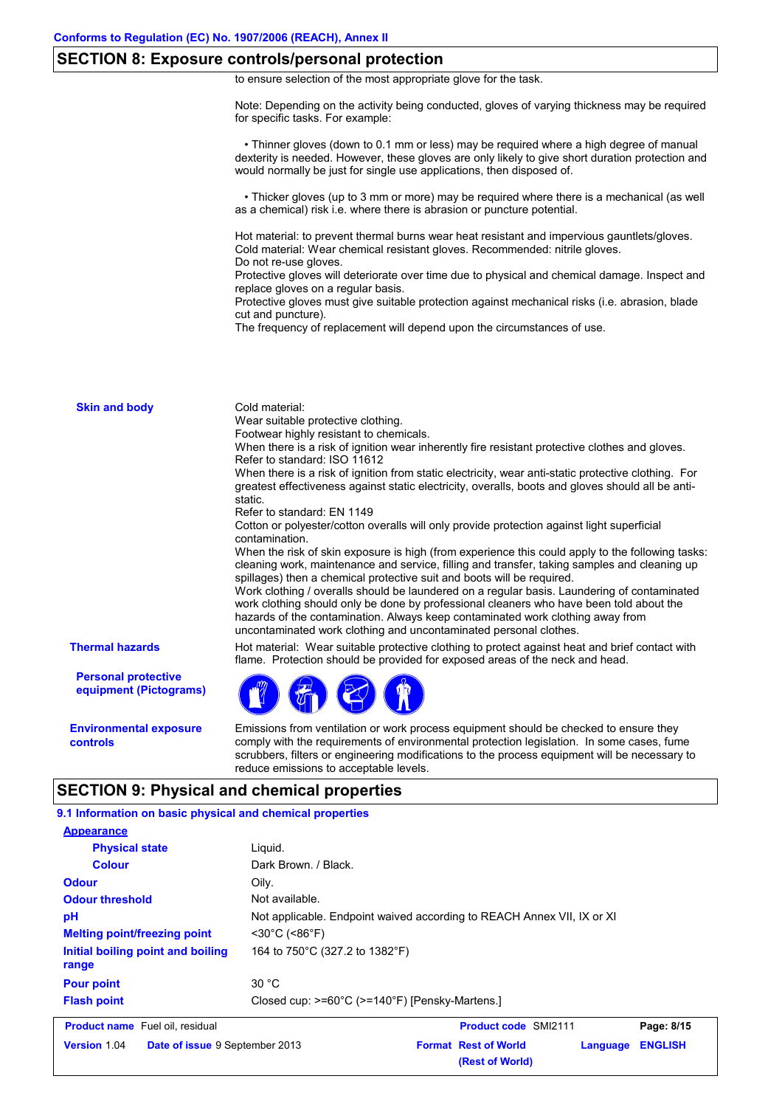### **SECTION 8: Exposure controls/personal protection**

to ensure selection of the most appropriate glove for the task.

Note: Depending on the activity being conducted, gloves of varying thickness may be required for specific tasks. For example:

 • Thinner gloves (down to 0.1 mm or less) may be required where a high degree of manual dexterity is needed. However, these gloves are only likely to give short duration protection and would normally be just for single use applications, then disposed of.

 • Thicker gloves (up to 3 mm or more) may be required where there is a mechanical (as well as a chemical) risk i.e. where there is abrasion or puncture potential.

Hot material: to prevent thermal burns wear heat resistant and impervious gauntlets/gloves. Cold material: Wear chemical resistant gloves. Recommended: nitrile gloves. Do not re-use gloves.

Protective gloves will deteriorate over time due to physical and chemical damage. Inspect and replace gloves on a regular basis.

Protective gloves must give suitable protection against mechanical risks (i.e. abrasion, blade cut and puncture).

The frequency of replacement will depend upon the circumstances of use.

| <b>Skin and body</b>                                 | Cold material:<br>Wear suitable protective clothing.<br>Footwear highly resistant to chemicals.<br>When there is a risk of ignition wear inherently fire resistant protective clothes and gloves.<br>Refer to standard: ISO 11612<br>When there is a risk of ignition from static electricity, wear anti-static protective clothing. For<br>greatest effectiveness against static electricity, overalls, boots and gloves should all be anti-<br>static.<br>Refer to standard: EN 1149<br>Cotton or polyester/cotton overalls will only provide protection against light superficial<br>contamination.<br>When the risk of skin exposure is high (from experience this could apply to the following tasks:<br>cleaning work, maintenance and service, filling and transfer, taking samples and cleaning up<br>spillages) then a chemical protective suit and boots will be required.<br>Work clothing / overalls should be laundered on a regular basis. Laundering of contaminated<br>work clothing should only be done by professional cleaners who have been told about the<br>hazards of the contamination. Always keep contaminated work clothing away from<br>uncontaminated work clothing and uncontaminated personal clothes. |
|------------------------------------------------------|---------------------------------------------------------------------------------------------------------------------------------------------------------------------------------------------------------------------------------------------------------------------------------------------------------------------------------------------------------------------------------------------------------------------------------------------------------------------------------------------------------------------------------------------------------------------------------------------------------------------------------------------------------------------------------------------------------------------------------------------------------------------------------------------------------------------------------------------------------------------------------------------------------------------------------------------------------------------------------------------------------------------------------------------------------------------------------------------------------------------------------------------------------------------------------------------------------------------------------------|
| <b>Thermal hazards</b>                               | Hot material: Wear suitable protective clothing to protect against heat and brief contact with<br>flame. Protection should be provided for exposed areas of the neck and head.                                                                                                                                                                                                                                                                                                                                                                                                                                                                                                                                                                                                                                                                                                                                                                                                                                                                                                                                                                                                                                                        |
| <b>Personal protective</b><br>equipment (Pictograms) |                                                                                                                                                                                                                                                                                                                                                                                                                                                                                                                                                                                                                                                                                                                                                                                                                                                                                                                                                                                                                                                                                                                                                                                                                                       |
| <b>Environmental exposure</b><br>controls            | Emissions from ventilation or work process equipment should be checked to ensure they<br>comply with the requirements of environmental protection legislation. In some cases, fume<br>scrubbers, filters or engineering modifications to the process equipment will be necessary to<br>reduce emissions to acceptable levels.                                                                                                                                                                                                                                                                                                                                                                                                                                                                                                                                                                                                                                                                                                                                                                                                                                                                                                         |

### **SECTION 9: Physical and chemical properties**

**9.1 Information on basic physical and chemical properties**

| <b>Product name</b> Fuel oil residual      | <b>Product code</b> SMI2111                                            | P <sub>2</sub> na: 8/15 |
|--------------------------------------------|------------------------------------------------------------------------|-------------------------|
| <b>Flash point</b>                         | Closed cup: $>=60^{\circ}C$ ( $>=140^{\circ}F$ ) [Pensky-Martens.]     |                         |
| <b>Pour point</b>                          | 30 °C                                                                  |                         |
| Initial boiling point and boiling<br>range | 164 to 750°C (327.2 to 1382°F)                                         |                         |
| <b>Melting point/freezing point</b>        | $<$ 30°C (<86°F)                                                       |                         |
| рH                                         | Not applicable. Endpoint waived according to REACH Annex VII, IX or XI |                         |
| <b>Odour threshold</b>                     | Not available.                                                         |                         |
| <b>Odour</b>                               | Oilv.                                                                  |                         |
| <b>Colour</b>                              | Dark Brown, / Black.                                                   |                         |
| <b>Physical state</b>                      | Liquid.                                                                |                         |
| <b>Appearance</b>                          |                                                                        |                         |

| <b>Product name</b> Fuel oil, residual |                                       | <b>Product code SMI2111</b> |                             | Page: 8/15       |  |
|----------------------------------------|---------------------------------------|-----------------------------|-----------------------------|------------------|--|
| <b>Version 1.04</b>                    | <b>Date of issue 9 September 2013</b> |                             | <b>Format Rest of World</b> | Language ENGLISH |  |
|                                        |                                       |                             | (Rest of World)             |                  |  |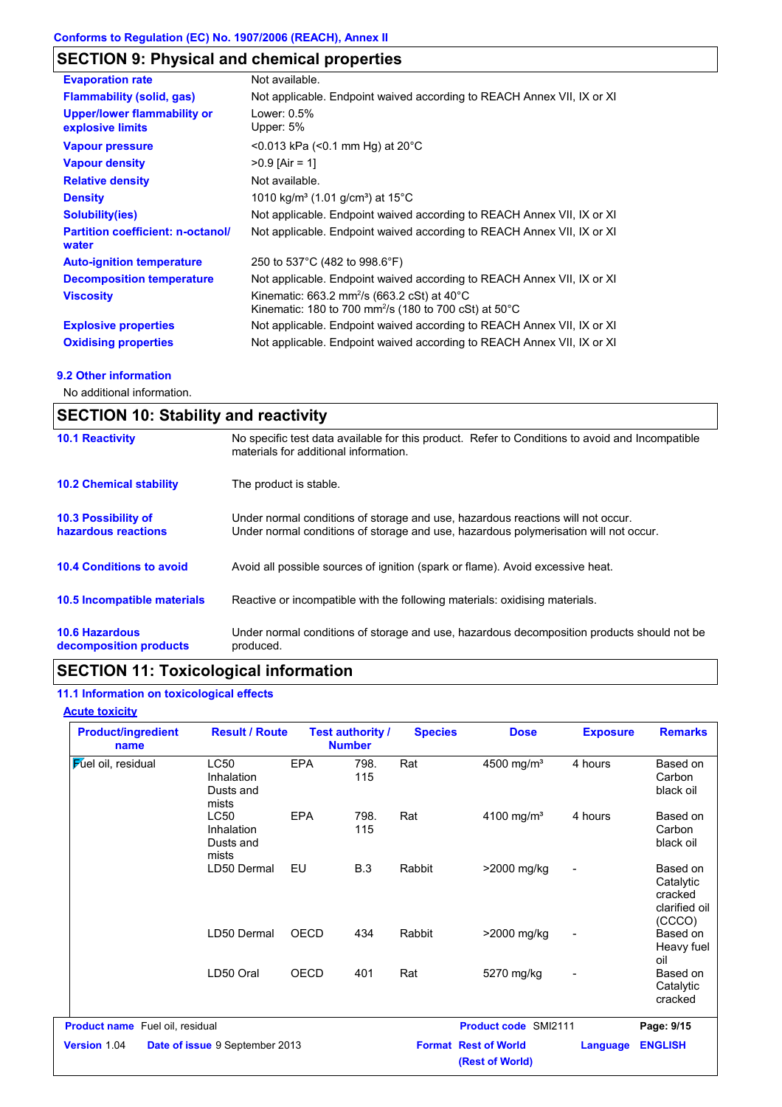# **SECTION 9: Physical and chemical properties**

| <b>Evaporation rate</b>                                | Not available.                                                                                                                          |
|--------------------------------------------------------|-----------------------------------------------------------------------------------------------------------------------------------------|
| <b>Flammability (solid, gas)</b>                       | Not applicable. Endpoint waived according to REACH Annex VII, IX or XI                                                                  |
| <b>Upper/lower flammability or</b><br>explosive limits | Lower: 0.5%<br>Upper: 5%                                                                                                                |
| <b>Vapour pressure</b>                                 | $<$ 0.013 kPa ( $<$ 0.1 mm Hg) at 20 $^{\circ}$ C                                                                                       |
| <b>Vapour density</b>                                  | $>0.9$ [Air = 1]                                                                                                                        |
| <b>Relative density</b>                                | Not available.                                                                                                                          |
| <b>Density</b>                                         | 1010 kg/m <sup>3</sup> (1.01 g/cm <sup>3</sup> ) at 15 <sup>°</sup> C                                                                   |
| <b>Solubility(ies)</b>                                 | Not applicable. Endpoint waived according to REACH Annex VII, IX or XI                                                                  |
| <b>Partition coefficient: n-octanol/</b><br>water      | Not applicable. Endpoint waived according to REACH Annex VII, IX or XI                                                                  |
| <b>Auto-ignition temperature</b>                       | 250 to 537°C (482 to 998.6°F)                                                                                                           |
| <b>Decomposition temperature</b>                       | Not applicable. Endpoint waived according to REACH Annex VII, IX or XI                                                                  |
| <b>Viscosity</b>                                       | Kinematic: 663.2 mm <sup>2</sup> /s (663.2 cSt) at 40 $^{\circ}$ C<br>Kinematic: 180 to 700 mm <sup>2</sup> /s (180 to 700 cSt) at 50°C |
| <b>Explosive properties</b>                            | Not applicable. Endpoint waived according to REACH Annex VII, IX or XI                                                                  |
| <b>Oxidising properties</b>                            | Not applicable. Endpoint waived according to REACH Annex VII, IX or XI                                                                  |

### **9.2 Other information**

No additional information.

| <b>SECTION 10: Stability and reactivity</b>       |                                                                                                                                                                         |
|---------------------------------------------------|-------------------------------------------------------------------------------------------------------------------------------------------------------------------------|
| <b>10.1 Reactivity</b>                            | No specific test data available for this product. Refer to Conditions to avoid and Incompatible<br>materials for additional information.                                |
| <b>10.2 Chemical stability</b>                    | The product is stable.                                                                                                                                                  |
| <b>10.3 Possibility of</b><br>hazardous reactions | Under normal conditions of storage and use, hazardous reactions will not occur.<br>Under normal conditions of storage and use, hazardous polymerisation will not occur. |
| <b>10.4 Conditions to avoid</b>                   | Avoid all possible sources of ignition (spark or flame). Avoid excessive heat.                                                                                          |
| <b>10.5 Incompatible materials</b>                | Reactive or incompatible with the following materials: oxidising materials.                                                                                             |
| <b>10.6 Hazardous</b><br>decomposition products   | Under normal conditions of storage and use, hazardous decomposition products should not be<br>produced.                                                                 |

# **SECTION 11: Toxicological information**

### **11.1 Information on toxicological effects**

| <b>Product/ingredient</b><br>name      | <b>Result / Route</b>                           |             | <b>Test authority /</b><br><b>Number</b> | <b>Species</b> | <b>Dose</b>                                    | <b>Exposure</b>          | <b>Remarks</b>                                              |
|----------------------------------------|-------------------------------------------------|-------------|------------------------------------------|----------------|------------------------------------------------|--------------------------|-------------------------------------------------------------|
| <b>Fuel oil</b> , residual             | <b>LC50</b><br>Inhalation<br>Dusts and<br>mists | <b>EPA</b>  | 798.<br>115                              | Rat            | 4500 mg/m <sup>3</sup>                         | 4 hours                  | Based on<br>Carbon<br>black oil                             |
|                                        | <b>LC50</b><br>Inhalation<br>Dusts and<br>mists | <b>EPA</b>  | 798.<br>115                              | Rat            | 4100 mg/m <sup>3</sup>                         | 4 hours                  | Based on<br>Carbon<br>black oil                             |
|                                        | LD50 Dermal                                     | EU          | <b>B.3</b>                               | Rabbit         | >2000 mg/kg                                    | $\overline{\phantom{a}}$ | Based on<br>Catalytic<br>cracked<br>clarified oil<br>(CCCO) |
|                                        | LD50 Dermal                                     | <b>OECD</b> | 434                                      | Rabbit         | >2000 mg/kg                                    | $\overline{\phantom{a}}$ | Based on<br>Heavy fuel<br>oil                               |
|                                        | LD50 Oral                                       | OECD        | 401                                      | Rat            | 5270 mg/kg                                     | $\overline{a}$           | Based on<br>Catalytic<br>cracked                            |
| <b>Product name</b> Fuel oil, residual |                                                 |             |                                          |                | <b>Product code SMI2111</b>                    |                          | Page: 9/15                                                  |
| Version 1.04                           | Date of issue 9 September 2013                  |             |                                          |                | <b>Format Rest of World</b><br>(Rest of World) | <b>Language</b>          | <b>ENGLISH</b>                                              |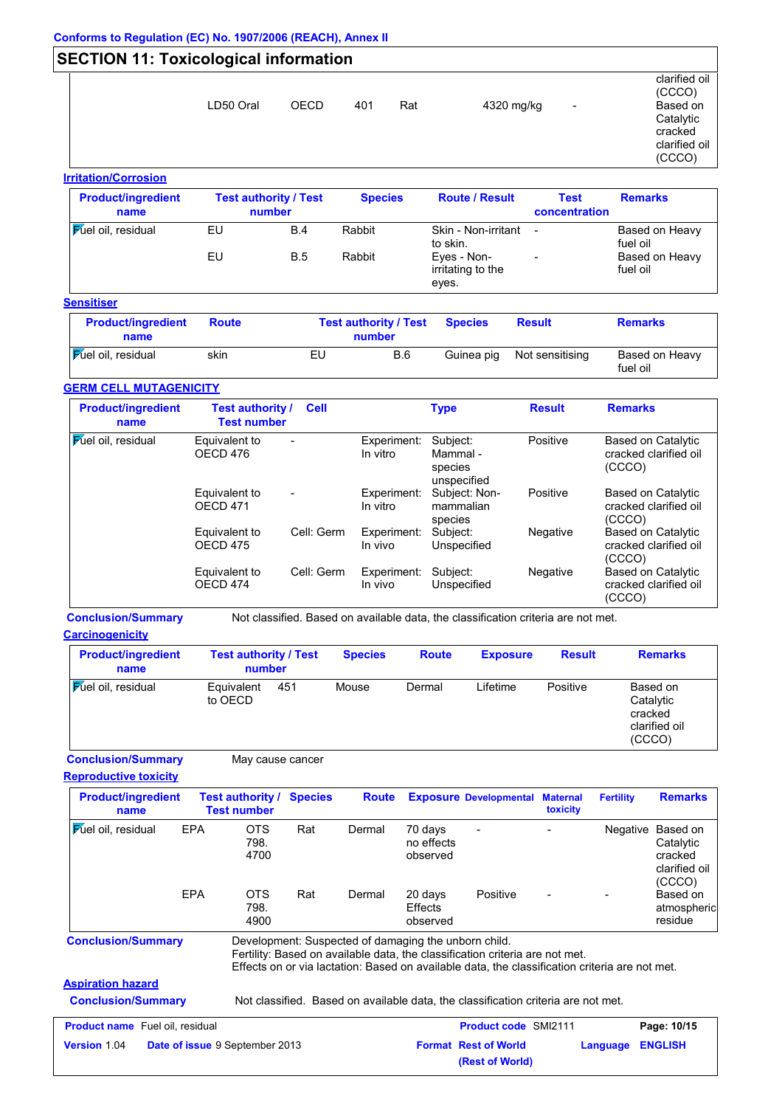### **SECTION 11: Toxicological information** clarified oil (CCCO) LD50 Oral OECD 401 Rat 4320 mg/kg -Catalytic cracked clarified oil (CCCO) **Irritation/Corrosion**

| <b>Product/ingredient</b><br>name |                  | <b>Test authority / Test</b><br>number | <b>Species</b> | <b>Route / Result</b>                     | <b>Test</b><br>concentration | <b>Remarks</b>             |
|-----------------------------------|------------------|----------------------------------------|----------------|-------------------------------------------|------------------------------|----------------------------|
| <b>Fuel oil, residual</b>         | EU               | B.4                                    | Rabbit         | Skin - Non-irritant<br>to skin.           | $\blacksquare$               | Based on Heavy<br>fuel oil |
|                                   | EU<br><b>B.5</b> |                                        | Rabbit         | Eyes - Non-<br>irritating to the<br>eyes. | $\sim$                       | Based on Heavy<br>fuel oil |

### **Sensitiser**

| <b>Product/ingredient</b><br>name | <b>Route</b> | <b>Test authority / Test</b><br>number | <b>Species</b> | <b>Result</b>   | <b>Remarks</b>             |
|-----------------------------------|--------------|----------------------------------------|----------------|-----------------|----------------------------|
| <b>Fuel oil</b> , residual        | skin         | EU<br><b>B.6</b>                       | Guinea pig     | Not sensitising | Based on Heavy<br>fuel oil |

### **GERM CELL MUTAGENICITY**

| <b>Product/ingredient</b><br>name | Test authority /<br><b>Test number</b> | <b>Cell</b> |                         | <b>Type</b>                                    | <b>Result</b> | <b>Remarks</b>                                        |
|-----------------------------------|----------------------------------------|-------------|-------------------------|------------------------------------------------|---------------|-------------------------------------------------------|
| <b>Fuel oil</b> , residual        | Equivalent to<br>OECD 476              |             | Experiment:<br>In vitro | Subject:<br>Mammal -<br>species<br>unspecified | Positive      | Based on Catalytic<br>cracked clarified oil<br>(CCCO) |
|                                   | Equivalent to<br><b>OECD 471</b>       |             | Experiment:<br>In vitro | Subject: Non-<br>mammalian<br>species          | Positive      | Based on Catalytic<br>cracked clarified oil<br>(CCCO) |
|                                   | Equivalent to<br>OECD <sub>475</sub>   | Cell: Germ  | Experiment:<br>In vivo  | Subject:<br>Unspecified                        | Negative      | Based on Catalytic<br>cracked clarified oil<br>(CCCO) |
|                                   | Equivalent to<br>OECD 474              | Cell: Germ  | Experiment:<br>In vivo  | Subject:<br>Unspecified                        | Negative      | Based on Catalytic<br>cracked clarified oil<br>(CCCO) |

**Conclusion/Summary** Not classified. Based on available data, the classification criteria are not met.

**Carcinogenicity**

| <b>Product/ingredient</b><br>name | <b>Test authority / Test</b><br>number |  | <b>Species</b> | <b>Route</b> | <b>Exposure</b> | <b>Result</b> | <b>Remarks</b>                                              |
|-----------------------------------|----------------------------------------|--|----------------|--------------|-----------------|---------------|-------------------------------------------------------------|
| <b>Fuel oil</b> , residual        | Equivalent<br>451<br>to OECD           |  | Mouse          | Dermal       | Lifetime        | Positive      | Based on<br>Catalytic<br>cracked<br>clarified oil<br>(CCCO) |

**Conclusion/Summary** May cause cancer

**Reproductive toxicity**

| <b>Product/ingredient</b><br>name                            |            | <b>Test authority /</b><br><b>Test number</b> | <b>Species</b> | <b>Route</b>                                         |                                       | <b>Exposure Developmental</b>                                                                                                                                                  | <b>Maternal</b><br>toxicity | <b>Fertility</b> | <b>Remarks</b>                                              |
|--------------------------------------------------------------|------------|-----------------------------------------------|----------------|------------------------------------------------------|---------------------------------------|--------------------------------------------------------------------------------------------------------------------------------------------------------------------------------|-----------------------------|------------------|-------------------------------------------------------------|
| <b>Fuel oil</b> , residual                                   | <b>EPA</b> | <b>OTS</b><br>798.<br>4700                    | Rat            | Dermal                                               | 70 days<br>no effects<br>observed     |                                                                                                                                                                                |                             | Negative         | Based on<br>Catalytic<br>cracked<br>clarified oil<br>(CCCO) |
|                                                              | <b>EPA</b> | <b>OTS</b><br>798.<br>4900                    | Rat            | Dermal                                               | 20 days<br><b>Effects</b><br>observed | Positive                                                                                                                                                                       |                             |                  | Based on<br>atmospheric<br>residue                          |
| <b>Conclusion/Summary</b>                                    |            |                                               |                | Development: Suspected of damaging the unborn child. |                                       | Fertility: Based on available data, the classification criteria are not met.<br>Effects on or via lactation: Based on available data, the classification criteria are not met. |                             |                  |                                                             |
| <b>Aspiration hazard</b>                                     |            |                                               |                |                                                      |                                       |                                                                                                                                                                                |                             |                  |                                                             |
| <b>Conclusion/Summary</b>                                    |            |                                               |                |                                                      |                                       | Not classified. Based on available data, the classification criteria are not met.                                                                                              |                             |                  |                                                             |
| <b>Product name</b> Fuel oil, residual                       |            |                                               |                |                                                      |                                       | <b>Product code SMI2111</b>                                                                                                                                                    |                             |                  | Page: 10/15                                                 |
| <b>Version</b> 1.04<br><b>Date of issue 9 September 2013</b> |            |                                               |                |                                                      |                                       | <b>Format Rest of World</b>                                                                                                                                                    |                             | Language         | <b>ENGLISH</b>                                              |

**(Rest of World)**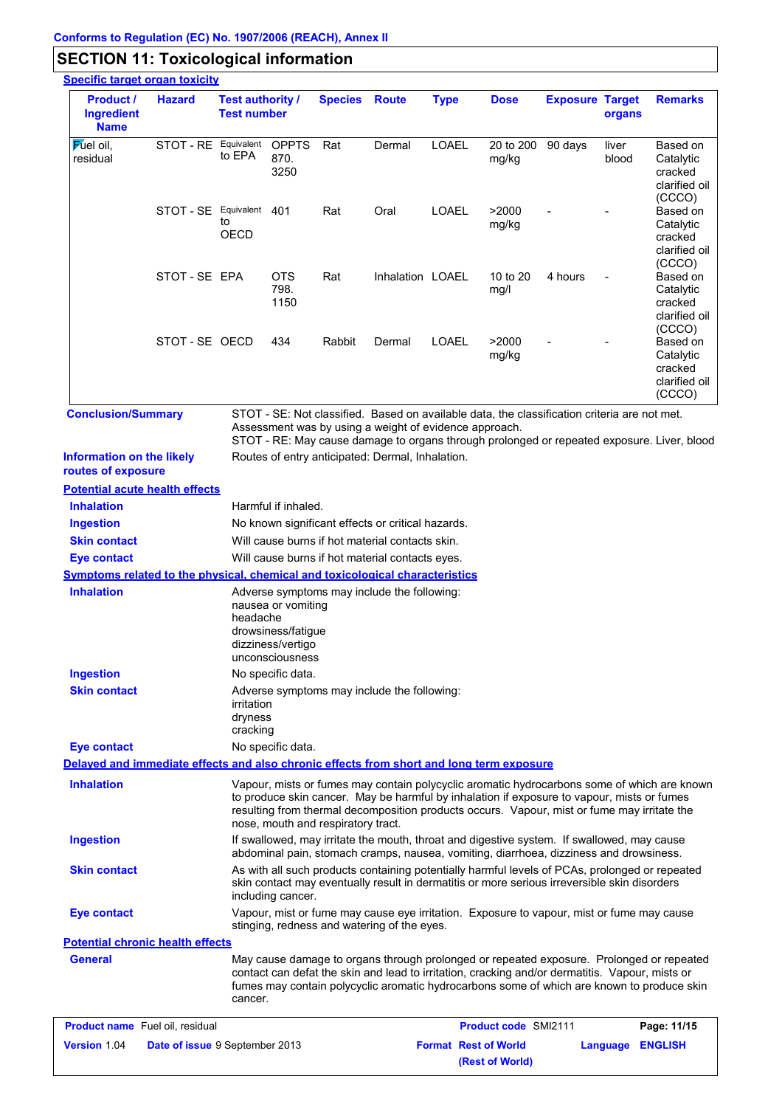# **SECTION 11: Toxicological information**

| <b>Specific target organ toxicity</b>                                                    |                                |                                                                                  |                                                                                  |                                    |                                                                                                                                                                                                |                             |                             |                        |                |                                                                                                                                                                                        |
|------------------------------------------------------------------------------------------|--------------------------------|----------------------------------------------------------------------------------|----------------------------------------------------------------------------------|------------------------------------|------------------------------------------------------------------------------------------------------------------------------------------------------------------------------------------------|-----------------------------|-----------------------------|------------------------|----------------|----------------------------------------------------------------------------------------------------------------------------------------------------------------------------------------|
| <b>Product /</b><br><b>Ingredient</b><br><b>Name</b>                                     | <b>Hazard</b>                  | <b>Test authority /</b><br><b>Test number</b>                                    |                                                                                  | <b>Species Route</b>               |                                                                                                                                                                                                | <b>Type</b>                 | <b>Dose</b>                 | <b>Exposure Target</b> | organs         | <b>Remarks</b>                                                                                                                                                                         |
| $\mathsf F$ uel oil.<br>residual                                                         | STOT - RE Equivalent           | to EPA                                                                           | <b>OPPTS</b><br>870.<br>3250                                                     | Rat                                | Dermal                                                                                                                                                                                         | <b>LOAEL</b>                | 20 to 200<br>mg/kg          | 90 days                | liver<br>blood | Based on<br>Catalytic<br>cracked<br>clarified oil                                                                                                                                      |
|                                                                                          | STOT - SE Equivalent 401       | to<br><b>OECD</b>                                                                |                                                                                  | Rat                                | Oral                                                                                                                                                                                           | <b>LOAEL</b>                | >2000<br>mg/kg              |                        |                | (CCCO)<br>Based on<br>Catalytic<br>cracked<br>clarified oil                                                                                                                            |
|                                                                                          | STOT-SE EPA                    |                                                                                  | <b>OTS</b><br>798.<br>1150                                                       | Rat                                | Inhalation LOAEL                                                                                                                                                                               |                             | 10 to 20<br>mg/l            | 4 hours                |                | (CCCO)<br>Based on<br>Catalytic<br>cracked<br>clarified oil<br>(CCCO)                                                                                                                  |
|                                                                                          | STOT-SE OECD                   |                                                                                  | 434                                                                              | Rabbit                             | Dermal                                                                                                                                                                                         | <b>LOAEL</b>                | >2000<br>mg/kg              |                        |                | Based on<br>Catalytic<br>cracked<br>clarified oil<br>(CCCO)                                                                                                                            |
| <b>Conclusion/Summary</b>                                                                |                                |                                                                                  |                                                                                  |                                    | STOT - SE: Not classified. Based on available data, the classification criteria are not met.<br>Assessment was by using a weight of evidence approach.                                         |                             |                             |                        |                | STOT - RE: May cause damage to organs through prolonged or repeated exposure. Liver, blood                                                                                             |
| <b>Information on the likely</b><br>routes of exposure                                   |                                |                                                                                  |                                                                                  |                                    | Routes of entry anticipated: Dermal, Inhalation.                                                                                                                                               |                             |                             |                        |                |                                                                                                                                                                                        |
| <b>Potential acute health effects</b>                                                    |                                |                                                                                  |                                                                                  |                                    |                                                                                                                                                                                                |                             |                             |                        |                |                                                                                                                                                                                        |
| <b>Inhalation</b>                                                                        |                                |                                                                                  | Harmful if inhaled.                                                              |                                    |                                                                                                                                                                                                |                             |                             |                        |                |                                                                                                                                                                                        |
| <b>Ingestion</b>                                                                         |                                |                                                                                  |                                                                                  |                                    | No known significant effects or critical hazards.                                                                                                                                              |                             |                             |                        |                |                                                                                                                                                                                        |
| <b>Skin contact</b>                                                                      |                                |                                                                                  |                                                                                  |                                    | Will cause burns if hot material contacts skin.                                                                                                                                                |                             |                             |                        |                |                                                                                                                                                                                        |
| <b>Eye contact</b>                                                                       |                                |                                                                                  |                                                                                  |                                    | Will cause burns if hot material contacts eyes.                                                                                                                                                |                             |                             |                        |                |                                                                                                                                                                                        |
| <b>Symptoms related to the physical, chemical and toxicological characteristics</b>      |                                |                                                                                  |                                                                                  |                                    |                                                                                                                                                                                                |                             |                             |                        |                |                                                                                                                                                                                        |
| <b>Inhalation</b>                                                                        |                                | headache                                                                         | nausea or vomiting<br>drowsiness/fatigue<br>dizziness/vertigo<br>unconsciousness |                                    | Adverse symptoms may include the following:                                                                                                                                                    |                             |                             |                        |                |                                                                                                                                                                                        |
| <b>Ingestion</b>                                                                         |                                |                                                                                  | No specific data.                                                                |                                    |                                                                                                                                                                                                |                             |                             |                        |                |                                                                                                                                                                                        |
| <b>Skin contact</b>                                                                      |                                | Adverse symptoms may include the following:<br>irritation<br>dryness<br>cracking |                                                                                  |                                    |                                                                                                                                                                                                |                             |                             |                        |                |                                                                                                                                                                                        |
| <b>Eye contact</b>                                                                       |                                |                                                                                  | No specific data.                                                                |                                    |                                                                                                                                                                                                |                             |                             |                        |                |                                                                                                                                                                                        |
| Delayed and immediate effects and also chronic effects from short and long term exposure |                                |                                                                                  |                                                                                  |                                    |                                                                                                                                                                                                |                             |                             |                        |                |                                                                                                                                                                                        |
| <b>Inhalation</b>                                                                        |                                |                                                                                  |                                                                                  | nose, mouth and respiratory tract. | to produce skin cancer. May be harmful by inhalation if exposure to vapour, mists or fumes<br>resulting from thermal decomposition products occurs. Vapour, mist or fume may irritate the      |                             |                             |                        |                | Vapour, mists or fumes may contain polycyclic aromatic hydrocarbons some of which are known                                                                                            |
| <b>Ingestion</b>                                                                         |                                |                                                                                  |                                                                                  |                                    | If swallowed, may irritate the mouth, throat and digestive system. If swallowed, may cause<br>abdominal pain, stomach cramps, nausea, vomiting, diarrhoea, dizziness and drowsiness.           |                             |                             |                        |                |                                                                                                                                                                                        |
| <b>Skin contact</b>                                                                      |                                |                                                                                  | including cancer.                                                                |                                    | As with all such products containing potentially harmful levels of PCAs, prolonged or repeated<br>skin contact may eventually result in dermatitis or more serious irreversible skin disorders |                             |                             |                        |                |                                                                                                                                                                                        |
| <b>Eye contact</b>                                                                       |                                |                                                                                  |                                                                                  |                                    | Vapour, mist or fume may cause eye irritation. Exposure to vapour, mist or fume may cause<br>stinging, redness and watering of the eyes.                                                       |                             |                             |                        |                |                                                                                                                                                                                        |
| <b>Potential chronic health effects</b>                                                  |                                |                                                                                  |                                                                                  |                                    |                                                                                                                                                                                                |                             |                             |                        |                |                                                                                                                                                                                        |
| <b>General</b>                                                                           |                                | cancer.                                                                          |                                                                                  |                                    | contact can defat the skin and lead to irritation, cracking and/or dermatitis. Vapour, mists or                                                                                                |                             |                             |                        |                | May cause damage to organs through prolonged or repeated exposure. Prolonged or repeated<br>fumes may contain polycyclic aromatic hydrocarbons some of which are known to produce skin |
| <b>Product name</b> Fuel oil, residual                                                   |                                |                                                                                  |                                                                                  |                                    |                                                                                                                                                                                                |                             | <b>Product code SMI2111</b> |                        |                | Page: 11/15                                                                                                                                                                            |
| <b>Version 1.04</b>                                                                      | Date of issue 9 September 2013 |                                                                                  |                                                                                  |                                    |                                                                                                                                                                                                | <b>Format Rest of World</b> |                             |                        | Language       | <b>ENGLISH</b>                                                                                                                                                                         |
|                                                                                          |                                |                                                                                  |                                                                                  |                                    |                                                                                                                                                                                                |                             | (Rest of World)             |                        |                |                                                                                                                                                                                        |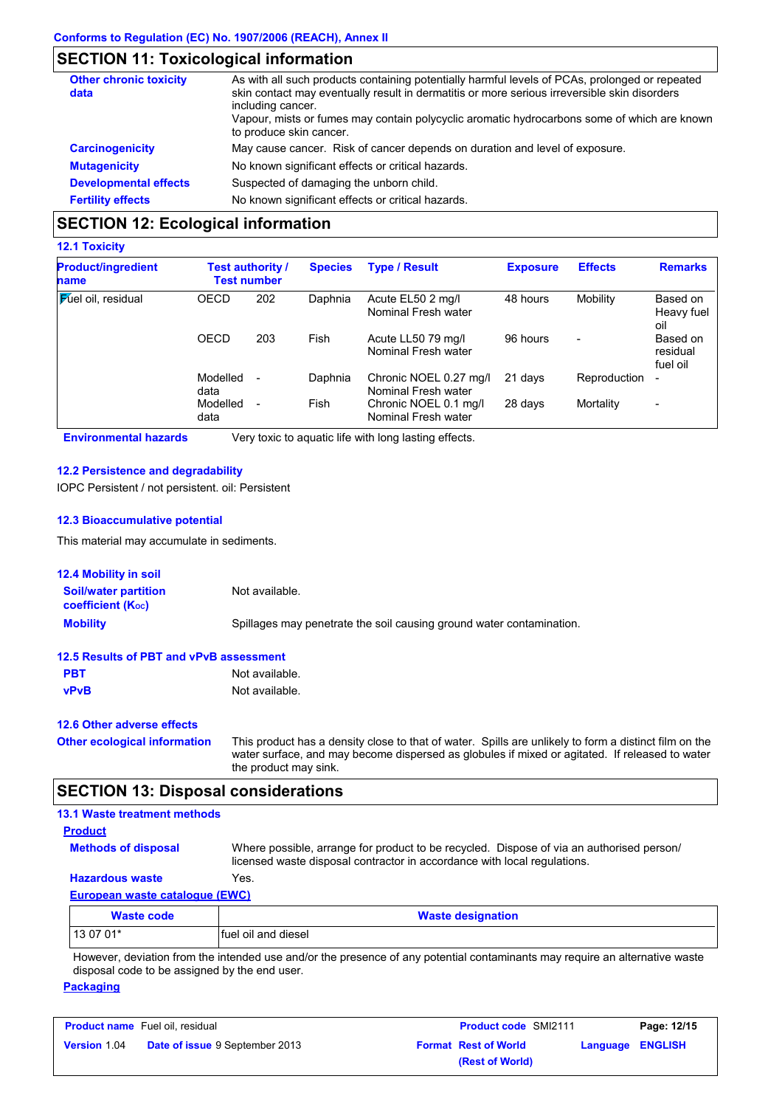# **SECTION 11: Toxicological information**

| <b>Other chronic toxicity</b><br>data | As with all such products containing potentially harmful levels of PCAs, prolonged or repeated<br>skin contact may eventually result in dermatitis or more serious irreversible skin disorders<br>including cancer.<br>Vapour, mists or fumes may contain polycyclic aromatic hydrocarbons some of which are known<br>to produce skin cancer. |
|---------------------------------------|-----------------------------------------------------------------------------------------------------------------------------------------------------------------------------------------------------------------------------------------------------------------------------------------------------------------------------------------------|
| <b>Carcinogenicity</b>                | May cause cancer. Risk of cancer depends on duration and level of exposure.                                                                                                                                                                                                                                                                   |
| <b>Mutagenicity</b>                   | No known significant effects or critical hazards.                                                                                                                                                                                                                                                                                             |
| <b>Developmental effects</b>          | Suspected of damaging the unborn child.                                                                                                                                                                                                                                                                                                       |
| <b>Fertility effects</b>              | No known significant effects or critical hazards.                                                                                                                                                                                                                                                                                             |

## **SECTION 12: Ecological information**

### **12.1 Toxicity**

| <b>Product/ingredient</b><br>name | <b>Test authority /</b><br><b>Test number</b> |     | <b>Type / Result</b><br><b>Species</b> |                                               | <b>Exposure</b> | <b>Effects</b>           | <b>Remarks</b>                   |
|-----------------------------------|-----------------------------------------------|-----|----------------------------------------|-----------------------------------------------|-----------------|--------------------------|----------------------------------|
| <b>Mel oil</b> , residual         | <b>OECD</b>                                   | 202 | Daphnia                                | Acute EL50 2 mg/l<br>Nominal Fresh water      | 48 hours        | Mobility                 | Based on<br>Heavy fuel<br>oil    |
|                                   | <b>OECD</b>                                   | 203 | Fish                                   | Acute LL50 79 mg/l<br>Nominal Fresh water     | 96 hours        | $\overline{\phantom{0}}$ | Based on<br>residual<br>fuel oil |
|                                   | Modelled<br>data                              |     | Daphnia                                | Chronic NOEL 0.27 mg/l<br>Nominal Fresh water | 21 days         | Reproduction             | $\overline{\phantom{a}}$         |
|                                   | Modelled<br>data                              |     | Fish                                   | Chronic NOEL 0.1 mg/l<br>Nominal Fresh water  | 28 days         | Mortality                | $\blacksquare$                   |

**Environmental hazards** Very toxic to aquatic life with long lasting effects.

#### **12.2 Persistence and degradability**

IOPC Persistent / not persistent. oil: Persistent

#### **12.3 Bioaccumulative potential**

This material may accumulate in sediments.

| <b>12.4 Mobility in soil</b>                            |                                                                                                                                                                                                                                  |  |  |  |  |  |
|---------------------------------------------------------|----------------------------------------------------------------------------------------------------------------------------------------------------------------------------------------------------------------------------------|--|--|--|--|--|
| <b>Soil/water partition</b><br><b>coefficient (Koc)</b> | Not available.                                                                                                                                                                                                                   |  |  |  |  |  |
| <b>Mobility</b>                                         | Spillages may penetrate the soil causing ground water contamination.                                                                                                                                                             |  |  |  |  |  |
| 12.5 Results of PBT and vPvB assessment                 |                                                                                                                                                                                                                                  |  |  |  |  |  |
| <b>PBT</b>                                              | Not available.                                                                                                                                                                                                                   |  |  |  |  |  |
| <b>vPvB</b>                                             | Not available.                                                                                                                                                                                                                   |  |  |  |  |  |
| 12.6 Other adverse effects                              |                                                                                                                                                                                                                                  |  |  |  |  |  |
| <b>Other ecological information</b>                     | This product has a density close to that of water. Spills are unlikely to form a distinct film on the<br>water surface, and may become dispersed as globules if mixed or agitated. If released to water<br>the product may sink. |  |  |  |  |  |
| <b>SECTION 13: Disposal considerations</b>              |                                                                                                                                                                                                                                  |  |  |  |  |  |

| <b>13.1 Waste treatment methods</b> |                                                                                                                                                                      |
|-------------------------------------|----------------------------------------------------------------------------------------------------------------------------------------------------------------------|
| <b>Product</b>                      |                                                                                                                                                                      |
| <b>Methods of disposal</b>          | Where possible, arrange for product to be recycled. Dispose of via an authorised person/<br>licensed waste disposal contractor in accordance with local regulations. |
| <b>Hazardous waste</b>              | Yes.                                                                                                                                                                 |
| European waste catalogue (EWC)      |                                                                                                                                                                      |
| Waste code                          | <b>Waste designation</b>                                                                                                                                             |

| <b>Traste could</b> | <b><i><u>NASIC UCSIYIIALIVII</u></i></b>                                                                                    |  |
|---------------------|-----------------------------------------------------------------------------------------------------------------------------|--|
| $130701*$           | Ifuel oil and diesel                                                                                                        |  |
|                     | However, deviation from the intended use and/or the presence of any potential contaminants may require an alternative waste |  |

 $\tau$ , deviation from the intended use and/or the presence of any potential contaminants may require an alternative waste disposal code to be assigned by the end user.

### **Packaging**

| <b>Product name</b> Fuel oil, residual |                                       | <b>Product code SMI2111</b> | Page: 12/15             |
|----------------------------------------|---------------------------------------|-----------------------------|-------------------------|
| <b>Version 1.04</b>                    | <b>Date of issue 9 September 2013</b> | <b>Format Rest of World</b> | <b>Language ENGLISH</b> |
|                                        |                                       | (Rest of World)             |                         |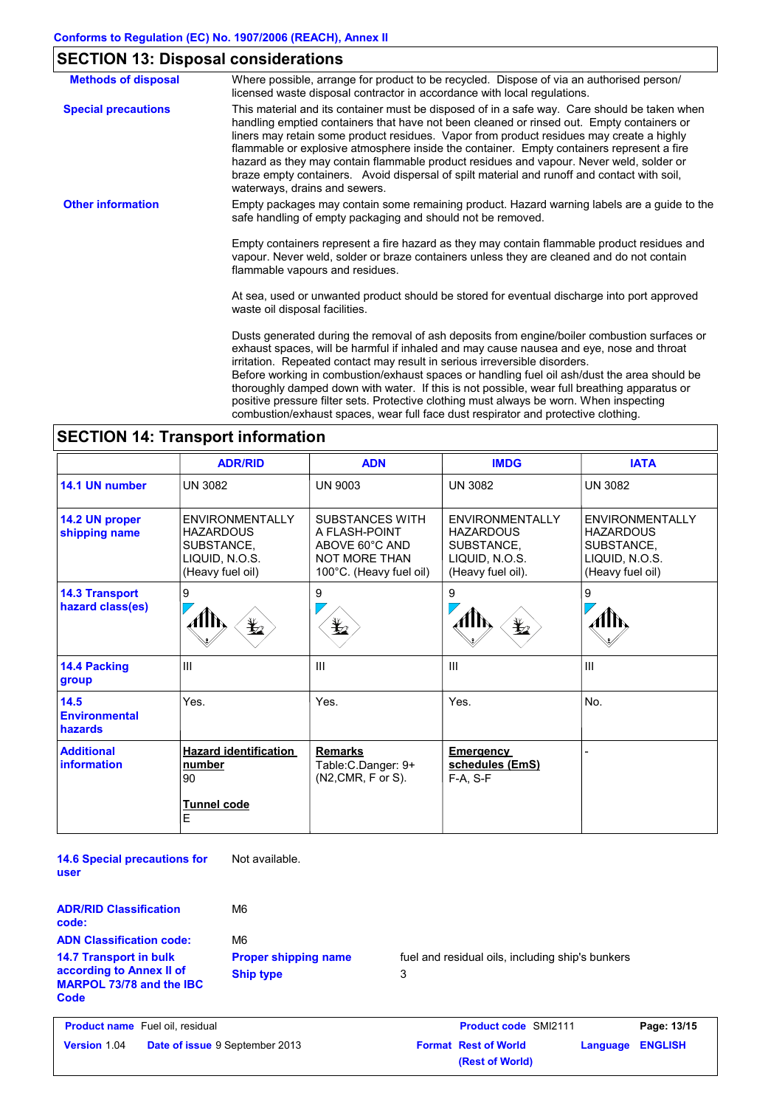# **SECTION 13: Disposal considerations**

| <b>Methods of disposal</b> | Where possible, arrange for product to be recycled. Dispose of via an authorised person/<br>licensed waste disposal contractor in accordance with local regulations.                                                                                                                                                                                                                                                                                                                                                                                                                                                                                    |
|----------------------------|---------------------------------------------------------------------------------------------------------------------------------------------------------------------------------------------------------------------------------------------------------------------------------------------------------------------------------------------------------------------------------------------------------------------------------------------------------------------------------------------------------------------------------------------------------------------------------------------------------------------------------------------------------|
| <b>Special precautions</b> | This material and its container must be disposed of in a safe way. Care should be taken when<br>handling emptied containers that have not been cleaned or rinsed out. Empty containers or<br>liners may retain some product residues. Vapor from product residues may create a highly<br>flammable or explosive atmosphere inside the container. Empty containers represent a fire<br>hazard as they may contain flammable product residues and vapour. Never weld, solder or<br>braze empty containers. Avoid dispersal of spilt material and runoff and contact with soil,<br>waterways, drains and sewers.                                           |
| <b>Other information</b>   | Empty packages may contain some remaining product. Hazard warning labels are a guide to the<br>safe handling of empty packaging and should not be removed.                                                                                                                                                                                                                                                                                                                                                                                                                                                                                              |
|                            | Empty containers represent a fire hazard as they may contain flammable product residues and<br>vapour. Never weld, solder or braze containers unless they are cleaned and do not contain<br>flammable vapours and residues.                                                                                                                                                                                                                                                                                                                                                                                                                             |
|                            | At sea, used or unwanted product should be stored for eventual discharge into port approved<br>waste oil disposal facilities.                                                                                                                                                                                                                                                                                                                                                                                                                                                                                                                           |
|                            | Dusts generated during the removal of ash deposits from engine/boiler combustion surfaces or<br>exhaust spaces, will be harmful if inhaled and may cause nausea and eye, nose and throat<br>irritation. Repeated contact may result in serious irreversible disorders.<br>Before working in combustion/exhaust spaces or handling fuel oil ash/dust the area should be<br>thoroughly damped down with water. If this is not possible, wear full breathing apparatus or<br>positive pressure filter sets. Protective clothing must always be worn. When inspecting<br>combustion/exhaust spaces, wear full face dust respirator and protective clothing. |

# **SECTION 14: Transport information**

|                                           | <b>ADR/RID</b>                                                                                 | <b>ADN</b>                                                                                                   | <b>IMDG</b>                                                                                     | <b>IATA</b>                                                                                    |
|-------------------------------------------|------------------------------------------------------------------------------------------------|--------------------------------------------------------------------------------------------------------------|-------------------------------------------------------------------------------------------------|------------------------------------------------------------------------------------------------|
| 14.1 UN number                            | <b>UN 3082</b>                                                                                 | <b>UN 9003</b>                                                                                               | <b>UN 3082</b>                                                                                  | <b>UN 3082</b>                                                                                 |
| 14.2 UN proper<br>shipping name           | <b>ENVIRONMENTALLY</b><br><b>HAZARDOUS</b><br>SUBSTANCE,<br>LIQUID, N.O.S.<br>(Heavy fuel oil) | <b>SUBSTANCES WITH</b><br>A FLASH-POINT<br>ABOVE 60°C AND<br><b>NOT MORE THAN</b><br>100°C. (Heavy fuel oil) | <b>ENVIRONMENTALLY</b><br><b>HAZARDOUS</b><br>SUBSTANCE,<br>LIQUID, N.O.S.<br>(Heavy fuel oil). | <b>ENVIRONMENTALLY</b><br><b>HAZARDOUS</b><br>SUBSTANCE.<br>LIQUID, N.O.S.<br>(Heavy fuel oil) |
| <b>14.3 Transport</b><br>hazard class(es) | 9<br>翌                                                                                         | 9<br>¥⊿                                                                                                      | 9<br>$\bigoplus$                                                                                | 9                                                                                              |
| 14.4 Packing<br>group                     | III                                                                                            | $\mathbf{III}$                                                                                               | $\mathbf{III}$                                                                                  | Ш                                                                                              |
| 14.5<br><b>Environmental</b><br>hazards   | Yes.                                                                                           | Yes.                                                                                                         | Yes.                                                                                            | No.                                                                                            |
| <b>Additional</b><br>information          | <b>Hazard identification</b><br>number<br>90<br>Tunnel code<br>E                               | <b>Remarks</b><br>Table: C. Danger: 9+<br>(N2, CMR, F or S).                                                 | Emergency<br>schedules (EmS)<br>F-A, S-F                                                        |                                                                                                |

**14.6 Special precautions for user** Not available.

| M6                                              |                                                       |
|-------------------------------------------------|-------------------------------------------------------|
| M6                                              |                                                       |
| <b>Proper shipping name</b><br><b>Ship type</b> | fuel and residual oils, including ship's bunkers<br>3 |
|                                                 |                                                       |

| <b>Product name</b> Fuel oil, residual |                                       | <b>Product code SMI2111</b> |                             | Page: 13/15             |  |
|----------------------------------------|---------------------------------------|-----------------------------|-----------------------------|-------------------------|--|
| <b>Version 1.04</b>                    | <b>Date of issue</b> 9 September 2013 |                             | <b>Format Rest of World</b> | <b>Language ENGLISH</b> |  |
|                                        |                                       |                             | (Rest of World)             |                         |  |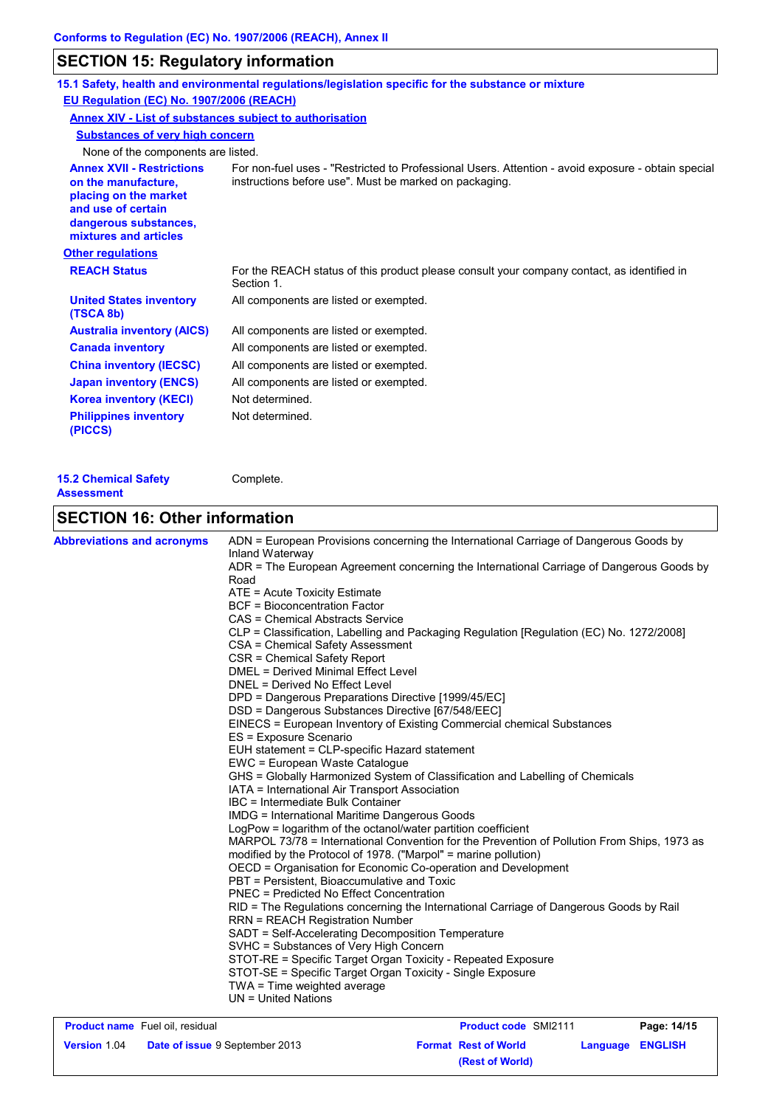# **SECTION 15: Regulatory information**

|                                                                                                                                                          | 15.1 Safety, health and environmental regulations/legislation specific for the substance or mixture                                                          |
|----------------------------------------------------------------------------------------------------------------------------------------------------------|--------------------------------------------------------------------------------------------------------------------------------------------------------------|
| EU Regulation (EC) No. 1907/2006 (REACH)                                                                                                                 |                                                                                                                                                              |
| Annex XIV - List of substances subject to authorisation                                                                                                  |                                                                                                                                                              |
| <b>Substances of very high concern</b>                                                                                                                   |                                                                                                                                                              |
| None of the components are listed.                                                                                                                       |                                                                                                                                                              |
| <b>Annex XVII - Restrictions</b><br>on the manufacture,<br>placing on the market<br>and use of certain<br>dangerous substances,<br>mixtures and articles | For non-fuel uses - "Restricted to Professional Users. Attention - avoid exposure - obtain special<br>instructions before use". Must be marked on packaging. |
| <b>Other regulations</b>                                                                                                                                 |                                                                                                                                                              |
| <b>REACH Status</b>                                                                                                                                      | For the REACH status of this product please consult your company contact, as identified in<br>Section 1.                                                     |
| <b>United States inventory</b><br>(TSCA 8b)                                                                                                              | All components are listed or exempted.                                                                                                                       |
| <b>Australia inventory (AICS)</b>                                                                                                                        | All components are listed or exempted.                                                                                                                       |
| <b>Canada inventory</b>                                                                                                                                  | All components are listed or exempted.                                                                                                                       |
| <b>China inventory (IECSC)</b>                                                                                                                           | All components are listed or exempted.                                                                                                                       |
| <b>Japan inventory (ENCS)</b>                                                                                                                            | All components are listed or exempted.                                                                                                                       |
| <b>Korea inventory (KECI)</b>                                                                                                                            | Not determined.                                                                                                                                              |
| <b>Philippines inventory</b><br>(PICCS)                                                                                                                  | Not determined.                                                                                                                                              |
|                                                                                                                                                          |                                                                                                                                                              |

| <b>15.2 Chemical Safety</b> | Complete. |
|-----------------------------|-----------|
| <b>Assessment</b>           |           |

# **SECTION 16: Other information**

| <b>Abbreviations and acronyms</b>     | ADN = European Provisions concerning the International Carriage of Dangerous Goods by                       |  |  |  |  |
|---------------------------------------|-------------------------------------------------------------------------------------------------------------|--|--|--|--|
|                                       | Inland Waterway<br>ADR = The European Agreement concerning the International Carriage of Dangerous Goods by |  |  |  |  |
|                                       | Road                                                                                                        |  |  |  |  |
|                                       | ATE = Acute Toxicity Estimate                                                                               |  |  |  |  |
|                                       | <b>BCF</b> = Bioconcentration Factor                                                                        |  |  |  |  |
|                                       | CAS = Chemical Abstracts Service                                                                            |  |  |  |  |
|                                       | CLP = Classification, Labelling and Packaging Regulation [Regulation (EC) No. 1272/2008]                    |  |  |  |  |
|                                       | CSA = Chemical Safety Assessment                                                                            |  |  |  |  |
|                                       | CSR = Chemical Safety Report                                                                                |  |  |  |  |
|                                       | DMEL = Derived Minimal Effect Level                                                                         |  |  |  |  |
|                                       | DNEL = Derived No Effect Level                                                                              |  |  |  |  |
|                                       | DPD = Dangerous Preparations Directive [1999/45/EC]                                                         |  |  |  |  |
|                                       | DSD = Dangerous Substances Directive [67/548/EEC]                                                           |  |  |  |  |
|                                       | EINECS = European Inventory of Existing Commercial chemical Substances                                      |  |  |  |  |
|                                       | ES = Exposure Scenario                                                                                      |  |  |  |  |
|                                       | EUH statement = CLP-specific Hazard statement                                                               |  |  |  |  |
|                                       | EWC = European Waste Catalogue                                                                              |  |  |  |  |
|                                       | GHS = Globally Harmonized System of Classification and Labelling of Chemicals                               |  |  |  |  |
|                                       | IATA = International Air Transport Association                                                              |  |  |  |  |
|                                       | IBC = Intermediate Bulk Container                                                                           |  |  |  |  |
|                                       | IMDG = International Maritime Dangerous Goods                                                               |  |  |  |  |
|                                       | LogPow = logarithm of the octanol/water partition coefficient                                               |  |  |  |  |
|                                       | MARPOL 73/78 = International Convention for the Prevention of Pollution From Ships, 1973 as                 |  |  |  |  |
|                                       | modified by the Protocol of 1978. ("Marpol" = marine pollution)                                             |  |  |  |  |
|                                       | OECD = Organisation for Economic Co-operation and Development                                               |  |  |  |  |
|                                       | PBT = Persistent, Bioaccumulative and Toxic                                                                 |  |  |  |  |
|                                       | <b>PNEC = Predicted No Effect Concentration</b>                                                             |  |  |  |  |
|                                       | RID = The Regulations concerning the International Carriage of Dangerous Goods by Rail                      |  |  |  |  |
|                                       | <b>RRN = REACH Registration Number</b>                                                                      |  |  |  |  |
|                                       | SADT = Self-Accelerating Decomposition Temperature                                                          |  |  |  |  |
|                                       | SVHC = Substances of Very High Concern                                                                      |  |  |  |  |
|                                       | STOT-RE = Specific Target Organ Toxicity - Repeated Exposure                                                |  |  |  |  |
|                                       | STOT-SE = Specific Target Organ Toxicity - Single Exposure                                                  |  |  |  |  |
|                                       | TWA = Time weighted average                                                                                 |  |  |  |  |
|                                       | $UN = United Nations$                                                                                       |  |  |  |  |
| <b>Draduat nama</b> Eugl oil rooidugl | Deadust and CMI0111<br>D <sub>0</sub>                                                                       |  |  |  |  |

| <b>Product name</b> Fuel oil, residual |                                       | <b>Product code SMI2111</b> |                  | Page: 14/15 |
|----------------------------------------|---------------------------------------|-----------------------------|------------------|-------------|
| <b>Version 1.04</b>                    | <b>Date of issue 9 September 2013</b> | <b>Format Rest of World</b> | Language ENGLISH |             |
|                                        |                                       | (Rest of World)             |                  |             |